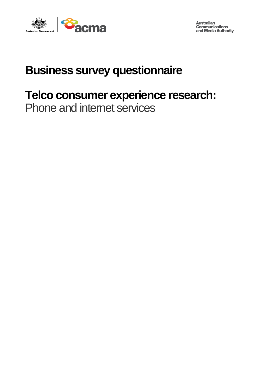

**Australian Communications<br>and Media Authority** 

# **Business survey questionnaire**

# **Telco consumer experience research:**

Phone and internet services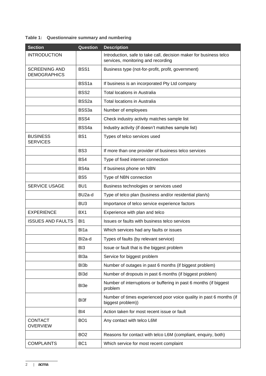## **Table 1: Questionnaire summary and numbering**

| <b>Section</b>                              | <b>Question</b>    | <b>Description</b>                                                                                       |  |
|---------------------------------------------|--------------------|----------------------------------------------------------------------------------------------------------|--|
| <b>INTRODUCTION</b>                         |                    | Introduction, safe to take call, decision maker for business telco<br>services, monitoring and recording |  |
| <b>SCREENING AND</b><br><b>DEMOGRAPHICS</b> | BSS <sub>1</sub>   | Business type (not-for-profit, profit, government)                                                       |  |
|                                             | BSS <sub>1a</sub>  | If business is an incorporated Pty Ltd company                                                           |  |
|                                             | BSS <sub>2</sub>   | <b>Total locations in Australia</b>                                                                      |  |
|                                             | BSS <sub>2a</sub>  | <b>Total locations in Australia</b>                                                                      |  |
|                                             | BSS3a              | Number of employees                                                                                      |  |
|                                             | BSS4               | Check industry activity matches sample list                                                              |  |
|                                             | BSS4a              | Industry activity (if doesn't matches sample list)                                                       |  |
| <b>BUSINESS</b><br><b>SERVICES</b>          | BS <sub>1</sub>    | Types of telco services used                                                                             |  |
|                                             | BS3                | If more than one provider of business telco services                                                     |  |
|                                             | BS4                | Type of fixed internet connection                                                                        |  |
|                                             | BS <sub>4a</sub>   | If business phone on NBN                                                                                 |  |
|                                             | BS <sub>5</sub>    | Type of NBN connection                                                                                   |  |
| SERVICE USAGE                               | BU <sub>1</sub>    | Business technologies or services used                                                                   |  |
|                                             | BU <sub>2a-d</sub> | Type of telco plan (business and/or residential plan/s)                                                  |  |
|                                             | BU <sub>3</sub>    | Importance of telco service experience factors                                                           |  |
| <b>EXPERIENCE</b>                           | BX <sub>1</sub>    | Experience with plan and telco                                                                           |  |
| <b>ISSUES AND FAULTS</b>                    | BI1                | Issues or faults with business telco services                                                            |  |
|                                             | BI <sub>1</sub> a  | Which services had any faults or issues                                                                  |  |
|                                             | BI2a-d             | Types of faults (by relevant service)                                                                    |  |
|                                             | BI <sub>3</sub>    | Issue or fault that is the biggest problem                                                               |  |
|                                             | B <sub>l</sub> 3a  | Service for biggest problem                                                                              |  |
|                                             | BI3b               | Number of outages in past 6 months (if biggest problem)                                                  |  |
|                                             | BI3d               | Number of dropouts in past 6 months (if biggest problem)                                                 |  |
|                                             | B <sub>I3e</sub>   | Number of interruptions or buffering in past 6 months (if biggest<br>problem                             |  |
|                                             | BI3f               | Number of times experienced poor voice quality in past 6 months (if<br>biggest problem))                 |  |
|                                             | BI4                | Action taken for most recent issue or fault                                                              |  |
| <b>CONTACT</b><br><b>OVERVIEW</b>           | BO <sub>1</sub>    | Any contact with telco L6M                                                                               |  |
|                                             | BO <sub>2</sub>    | Reasons for contact with telco L6M (compliant, enquiry, both)                                            |  |
| <b>COMPLAINTS</b>                           | BC <sub>1</sub>    | Which service for most recent complaint                                                                  |  |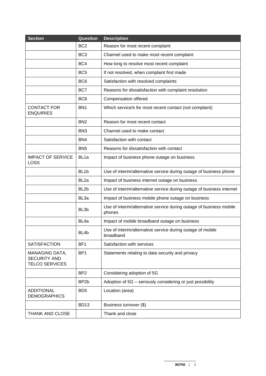| <b>Section</b>                                                 | Question          | <b>Description</b>                                                            |  |
|----------------------------------------------------------------|-------------------|-------------------------------------------------------------------------------|--|
|                                                                | BC <sub>2</sub>   | Reason for most recent complaint                                              |  |
|                                                                | BC <sub>3</sub>   | Channel used to make most recent complaint                                    |  |
|                                                                | BC4               | How long to resolve most recent complaint                                     |  |
|                                                                | BC <sub>5</sub>   | If not resolved, when complaint first made                                    |  |
|                                                                | BC <sub>6</sub>   | Satisfaction with resolved complaints                                         |  |
|                                                                | BC7               | Reasons for dissatisfaction with complaint resolution                         |  |
|                                                                | BC <sub>8</sub>   | Compensation offered                                                          |  |
| <b>CONTACT FOR</b><br><b>ENQUIRIES</b>                         | BN <sub>1</sub>   | Which service/s for most recent contact (not complaint)                       |  |
|                                                                | BN <sub>2</sub>   | Reason for most recent contact                                                |  |
|                                                                | BN <sub>3</sub>   | Channel used to make contact                                                  |  |
|                                                                | BN4               | Satisfaction with contact                                                     |  |
|                                                                | BN <sub>5</sub>   | Reasons for dissatisfaction with contact                                      |  |
| <b>IMPACT OF SERVICE</b><br><b>LOSS</b>                        | BL <sub>1a</sub>  | Impact of business phone outage on business                                   |  |
|                                                                | BL <sub>1b</sub>  | Use of interim/alternative service during outage of business phone            |  |
|                                                                | BL <sub>2a</sub>  | Impact of business internet outage on business                                |  |
|                                                                | BL <sub>2b</sub>  | Use of interim/alternative service during outage of business internet         |  |
|                                                                | BL <sub>3a</sub>  | Impact of business mobile phone outage on business                            |  |
|                                                                | BL <sub>3</sub> b | Use of interim/alternative service during outage of business mobile<br>phones |  |
|                                                                | BL <sub>4a</sub>  | Impact of mobile broadband outage on business                                 |  |
|                                                                | BL <sub>4</sub> b | Use of interim/alternative service during outage of mobile<br>broadband       |  |
| <b>SATISFACTION</b>                                            | BF <sub>1</sub>   | Satisfaction with services                                                    |  |
| MANAGING DATA,<br><b>SECURITY AND</b><br><b>TELCO SERVICES</b> | BP <sub>1</sub>   | Statements relating to data security and privacy                              |  |
|                                                                | BP <sub>2</sub>   | Considering adoption of 5G                                                    |  |
|                                                                | BP <sub>2</sub> b | Adoption of 5G - seriously considering or just possibility                    |  |
| <b>ADDITIONAL</b><br><b>DEMOGRAPHICS</b>                       | BD <sub>5</sub>   | Location (area)                                                               |  |
|                                                                | <b>BD13</b>       | Business turnover (\$)                                                        |  |
| <b>THANK AND CLOSE</b>                                         |                   | Thank and close                                                               |  |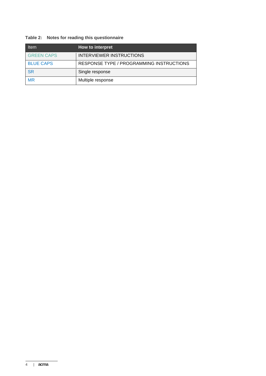## **Table 2: Notes for reading this questionnaire**

| <b>Item</b>       | How to interpret                         |
|-------------------|------------------------------------------|
| <b>GREEN CAPS</b> | INTERVIEWER INSTRUCTIONS                 |
| <b>BLUE CAPS</b>  | RESPONSE TYPE / PROGRAMMING INSTRUCTIONS |
| <b>SR</b>         | Single response                          |
| <b>MR</b>         | Multiple response                        |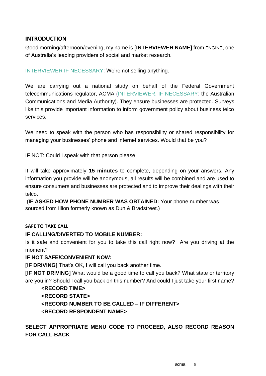## **INTRODUCTION**

Good morning/afternoon/evening, my name is **[INTERVIEWER NAME]** from ENGINE, one of Australia's leading providers of social and market research.

INTERVIEWER IF NECESSARY: We're not selling anything.

We are carrying out a national study on behalf of the Federal Government telecommunications regulator, ACMA (INTERVIEWER, IF NECESSARY: the Australian Communications and Media Authority). They ensure businesses are protected. Surveys like this provide important information to inform government policy about business telco services.

We need to speak with the person who has responsibility or shared responsibility for managing your businesses' phone and internet services. Would that be you?

IF NOT: Could I speak with that person please

It will take approximately **15 minutes** to complete, depending on your answers. Any information you provide will be anonymous, all results will be combined and are used to ensure consumers and businesses are protected and to improve their dealings with their telco.

(**IF ASKED HOW PHONE NUMBER WAS OBTAINED:** Your phone number was sourced from Illion formerly known as Dun & Bradstreet.)

#### **SAFE TO TAKE CALL**

#### **IF CALLING/DIVERTED TO MOBILE NUMBER:**

Is it safe and convenient for you to take this call right now? Are you driving at the moment?

#### **IF NOT SAFE/CONVENIENT NOW:**

**[IF DRIVING]** That's OK, I will call you back another time.

**[IF NOT DRIVING]** What would be a good time to call you back? What state or territory are you in? Should I call you back on this number? And could I just take your first name?

# **<RECORD TIME> <RECORD STATE> <RECORD NUMBER TO BE CALLED – IF DIFFERENT> <RECORD RESPONDENT NAME>**

**SELECT APPROPRIATE MENU CODE TO PROCEED, ALSO RECORD REASON FOR CALL-BACK**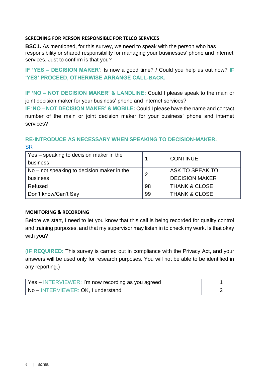#### **SCREENING FOR PERSON RESPONSIBLE FOR TELCO SERVICES**

**BSC1.** As mentioned, for this survey, we need to speak with the person who has responsibility or shared responsibility for managing your businesses' phone and internet services. Just to confirm is that you?

**IF 'YES – DECISION MAKER'**: Is now a good time? / Could you help us out now? **IF 'YES' PROCEED, OTHERWISE ARRANGE CALL-BACK.**

**IF 'NO – NOT DECISION MAKER' & LANDLINE:** Could I please speak to the main or joint decision maker for your business' phone and internet services?

**IF 'NO – NOT DECISION MAKER' & MOBILE:** Could I please have the name and contact number of the main or joint decision maker for your business' phone and internet services?

# **RE-INTRODUCE AS NECESSARY WHEN SPEAKING TO DECISION-MAKER. SR**

| Yes – speaking to decision maker in the<br>business |    | <b>CONTINUE</b>          |
|-----------------------------------------------------|----|--------------------------|
| $No$ – not speaking to decision maker in the        |    | ASK TO SPEAK TO          |
| business                                            |    | <b>DECISION MAKER</b>    |
| Refused                                             | 98 | <b>THANK &amp; CLOSE</b> |
| Don't know/Can't Say                                | 99 | <b>THANK &amp; CLOSE</b> |

#### **MONITORING & RECORDING**

Before we start, I need to let you know that this call is being recorded for quality control and training purposes, and that my supervisor may listen in to check my work. Is that okay with you?

(**IF REQUIRED:** This survey is carried out in compliance with the Privacy Act, and your answers will be used only for research purposes. You will not be able to be identified in any reporting.)

| Yes – INTERVIEWER: I'm now recording as you agreed |  |
|----------------------------------------------------|--|
| No – INTERVIEWER: OK, I understand                 |  |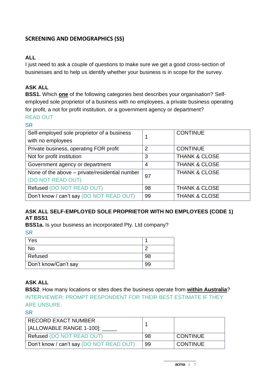# **SCREENING AND DEMOGRAPHICS (SS)**

# **ALL**

I just need to ask a couple of questions to make sure we get a good cross-section of businesses and to help us identify whether your business is in scope for the survey.

# **ASK ALL**

**BSS1.** Which **one** of the following categories best describes your organisation? Selfemployed sole proprietor of a business with no employees, a private business operating for profit, a not for profit institution, or a government agency or department? READ OUT

#### **SR**

| Self-employed sole proprietor of a business    |                | <b>CONTINUE</b>          |
|------------------------------------------------|----------------|--------------------------|
| with no employees                              |                |                          |
| Private business, operating FOR profit         | $\overline{2}$ | <b>CONTINUE</b>          |
| Not for profit institution                     | 3              | <b>THANK &amp; CLOSE</b> |
| Government agency or department                | 4              | <b>THANK &amp; CLOSE</b> |
| None of the above - private/residential number | 97             | <b>THANK &amp; CLOSE</b> |
| (DO NOT READ OUT)                              |                |                          |
| Refused (DO NOT READ OUT)                      | 98             | <b>THANK &amp; CLOSE</b> |
| Don't know / can't say (DO NOT READ OUT)       | 99             | <b>THANK &amp; CLOSE</b> |

## **ASK ALL SELF-EMPLOYED SOLE PROPRIETOR WITH NO EMPLOYEES (CODE 1) AT BSS1**

**BSS1a.** Is your business an incorporated Pty. Ltd company?

**SR** 

| Yes                  |  |
|----------------------|--|
| <b>No</b>            |  |
| Refused              |  |
| Don't know/Can't say |  |

# **ASK ALL**

**BSS2**. How many locations or sites does the business operate from **within Australia**? INTERVIEWER: PROMPT RESPONDENT FOR THEIR BEST ESTIMATE IF THEY ARE UNSURE.

| RECORD EXACT NUMBER                      |    |                 |
|------------------------------------------|----|-----------------|
| [ALLOWABLE RANGE 1-100]:                 |    |                 |
| Refused (DO NOT READ OUT)                | 98 | <b>CONTINUE</b> |
| Don't know / can't say (DO NOT READ OUT) | 99 | <b>CONTINUE</b> |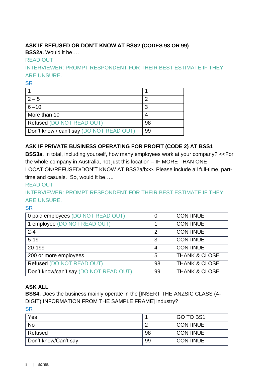# **ASK IF REFUSED OR DON'T KNOW AT BSS2 (CODES 98 OR 99)**

**BSS2a.** Would it be….

# READ OUT

INTERVIEWER: PROMPT RESPONDENT FOR THEIR BEST ESTIMATE IF THEY ARE UNSURE.

**SR** 

| $2 - 5$                                  |    |
|------------------------------------------|----|
| $6 - 10$                                 | 3  |
| More than 10                             |    |
| Refused (DO NOT READ OUT)                | 98 |
| Don't know / can't say (DO NOT READ OUT) | 99 |

# **ASK IF PRIVATE BUSINESS OPERATING FOR PROFIT (CODE 2) AT BSS1**

**BSS3a.** In total, including yourself, how many employees work at your company? <<For the whole company in Australia, not just this location – IF MORE THAN ONE LOCATION/REFUSED/DON'T KNOW AT BSS2a/b>>. Please include all full-time, parttime and casuals. So, would it be…..

# READ OUT

INTERVIEWER: PROMPT RESPONDENT FOR THEIR BEST ESTIMATE IF THEY ARE UNSURE.

# **SR**

| 0 paid employees (DO NOT READ OUT)     | 0              | <b>CONTINUE</b>          |
|----------------------------------------|----------------|--------------------------|
| 1 employee (DO NOT READ OUT)           |                | <b>CONTINUE</b>          |
| $2 - 4$                                | $\overline{2}$ | <b>CONTINUE</b>          |
| $5 - 19$                               | 3              | <b>CONTINUE</b>          |
| 20-199                                 | 4              | <b>CONTINUE</b>          |
| 200 or more employees                  | 5              | <b>THANK &amp; CLOSE</b> |
| Refused (DO NOT READ OUT)              | 98             | <b>THANK &amp; CLOSE</b> |
| Don't know/can't say (DO NOT READ OUT) | 99             | <b>THANK &amp; CLOSE</b> |

# **ASK ALL**

**BSS4.** Does the business mainly operate in the [INSERT THE ANZSIC CLASS (4- DIGIT) INFORMATION FROM THE SAMPLE FRAME] industry?

| Yes                  |    | GO TO BS1       |
|----------------------|----|-----------------|
| <b>No</b>            |    | <b>CONTINUE</b> |
| Refused              | 98 | <b>CONTINUE</b> |
| Don't know/Can't say | 99 | CONTINUE        |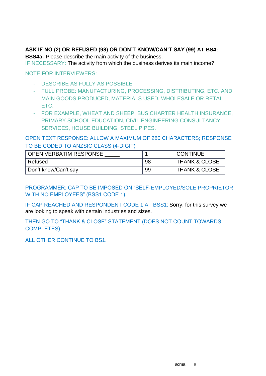### **ASK IF NO (2) OR REFUSED (98) OR DON'T KNOW/CAN'T SAY (99) AT BS4:**

**BSS4a.** Please describe the main activity of the business.

IF NECESSARY: The activity from which the business derives its main income?

NOTE FOR INTERVIEWERS:

- DESCRIBE AS FULLY AS POSSIBLE
- FULL PROBE: MANUFACTURING, PROCESSING, DISTRIBUTING, ETC. AND MAIN GOODS PRODUCED, MATERIALS USED, WHOLESALE OR RETAIL, ETC.
- FOR EXAMPLE, WHEAT AND SHEEP, BUS CHARTER HEALTH INSURANCE, PRIMARY SCHOOL EDUCATION, CIVIL ENGINEERING CONSULTANCY SERVICES, HOUSE BUILDING, STEEL PIPES.

OPEN TEXT RESPONSE: ALLOW A MAXIMUM OF 280 CHARACTERS; RESPONSE TO BE CODED TO ANZSIC CLASS (4-DIGIT)

| <b>OPEN VERBATIM RESPONSE</b> |    | <b>CONTINUE</b>          |
|-------------------------------|----|--------------------------|
| Refused                       | 98 | <b>THANK &amp; CLOSE</b> |
| Don't know/Can't say          | 99 | <b>THANK &amp; CLOSE</b> |

PROGRAMMER: CAP TO BE IMPOSED ON "SELF-EMPLOYED/SOLE PROPRIETOR WITH NO EMPLOYEES" (BSS1 CODE 1).

IF CAP REACHED AND RESPONDENT CODE 1 AT BSS1: Sorry, for this survey we are looking to speak with certain industries and sizes.

THEN GO TO "THANK & CLOSE" STATEMENT (DOES NOT COUNT TOWARDS COMPLETES).

ALL OTHER CONTINUE TO BS1.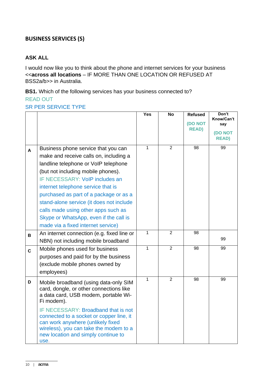# **BUSINESS SERVICES (S)**

# **ASK ALL**

I would now like you to think about the phone and internet services for your business <<**across all locations** – IF MORE THAN ONE LOCATION OR REFUSED AT BSS2a/b>> in Australia.

**BS1.** Which of the following services has your business connected to? READ OUT

#### SR PER SERVICE TYPE

|              |                                                                                                                                                                                                                                                                                                                                                                                                                                                  | Yes          | $\overline{N}$ | <b>Refused</b><br>(DO NOT<br><b>READ)</b> | Don't<br>Know/Can't<br>say<br>(DO NOT<br><b>READ)</b> |
|--------------|--------------------------------------------------------------------------------------------------------------------------------------------------------------------------------------------------------------------------------------------------------------------------------------------------------------------------------------------------------------------------------------------------------------------------------------------------|--------------|----------------|-------------------------------------------|-------------------------------------------------------|
| A            | Business phone service that you can<br>make and receive calls on, including a<br>landline telephone or VoIP telephone<br>(but not including mobile phones).<br>IF NECESSARY: VoIP includes an<br>internet telephone service that is<br>purchased as part of a package or as a<br>stand-alone service (it does not include<br>calls made using other apps such as<br>Skype or WhatsApp, even if the call is<br>made via a fixed internet service) | $\mathbf{1}$ | $\overline{2}$ | 98                                        | 99                                                    |
| $\mathbf B$  | An internet connection (e.g. fixed line or<br>NBN) not including mobile broadband                                                                                                                                                                                                                                                                                                                                                                | $\mathbf{1}$ | $\overline{2}$ | 98                                        | 99                                                    |
| $\mathbf{C}$ | Mobile phones used for business<br>purposes and paid for by the business<br>(exclude mobile phones owned by<br>employees)                                                                                                                                                                                                                                                                                                                        | 1            | $\overline{2}$ | 98                                        | 99                                                    |
| D            | Mobile broadband (using data-only SIM<br>card, dongle, or other connections like<br>a data card, USB modem, portable Wi-<br>Fi modem).<br>IF NECESSARY: Broadband that is not<br>connected to a socket or copper line, it<br>can work anywhere (unlikely fixed<br>wireless), you can take the modem to a                                                                                                                                         | $\mathbf{1}$ | $\overline{2}$ | 98                                        | 99                                                    |
|              | new location and simply continue to<br>use.                                                                                                                                                                                                                                                                                                                                                                                                      |              |                |                                           |                                                       |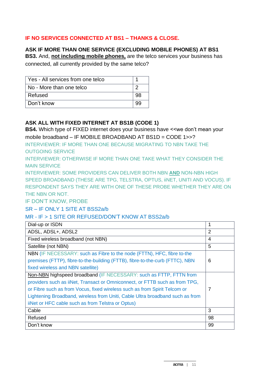## **IF NO SERVICES CONNECTED AT BS1 – THANKS & CLOSE.**

#### **ASK IF MORE THAN ONE SERVICE (EXCLUDING MOBILE PHONES) AT BS1**

**BS3.** And, **not including mobile phones,** are the telco services your business has connected, all currently provided by the same telco?

| Yes - All services from one telco |    |
|-----------------------------------|----|
| No - More than one telco          |    |
| Refused                           | 98 |
| Don't know                        |    |

## **ASK ALL WITH FIXED INTERNET AT BS1B (CODE 1)**

**BS4.** Which type of FIXED internet does your business have <<we don't mean your mobile broadband – IF MOBILE BROADBAND AT BS1D = CODE 1>>?

INTERVIEWER: IF MORE THAN ONE BECAUSE MIGRATING TO NBN TAKE THE OUTGOING SERVICE

INTERVIEWER: OTHERWISE IF MORE THAN ONE TAKE WHAT THEY CONSIDER THE MAIN SERVICE

INTERVIEWER: SOME PROVIDERS CAN DELIVER BOTH NBN **AND** NON-NBN HIGH SPEED BROADBAND (THESE ARE TPG, TELSTRA, OPTUS, iiNET, UNITI AND VOCUS). IF RESPONDENT SAYS THEY ARE WITH ONE OF THESE PROBE WHETHER THEY ARE ON THE NBN OR NOT.

IF DON'T KNOW, PROBE

SR – IF ONLY 1 SITE AT BSS2a/b

#### MR - IF > 1 SITE OR REFUSED/DON'T KNOW AT BSS2a/b

| Dial-up or ISDN                                                               | 1              |
|-------------------------------------------------------------------------------|----------------|
| ADSL, ADSL+, ADSL2                                                            | $\overline{2}$ |
| Fixed wireless broadband (not NBN)                                            | 4              |
| Satellite (not NBN)                                                           | 5              |
| NBN (IF NECESSARY: such as Fibre to the node (FTTN), HFC, fibre to-the        |                |
| premises (FTTP), fibre-to-the-building (FTTB), fibre-to-the-curb (FTTC), NBN  | 6              |
| fixed wireless and NBN satellite)                                             |                |
| Non-NBN highspeed broadband (IF NECESSARY: such as FTTP, FTTN from            |                |
| providers such as iiNet, Transact or Omniconnect, or FTTB such as from TPG,   |                |
| or Fibre such as from Vocus, fixed wireless such as from Spirit Telcom or     | 7              |
| Lightening Broadband, wireless from Uniti, Cable Ultra broadband such as from |                |
| iiNet or HFC cable such as from Telstra or Optus)                             |                |
| Cable                                                                         | 3              |
| Refused                                                                       | 98             |
| Don't know                                                                    | 99             |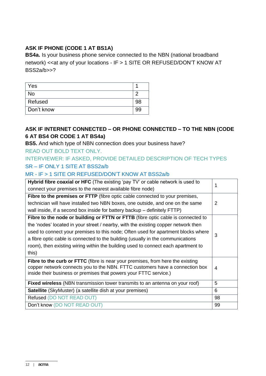# **ASK IF PHONE (CODE 1 AT BS1A)**

**BS4a.** Is your business phone service connected to the NBN (national broadband network) << at any of your locations - IF > 1 SITE OR REFUSED/DON'T KNOW AT BSS2a/b>>?

| Yes        |    |
|------------|----|
| <b>No</b>  |    |
| Refused    | 98 |
| Don't know | 99 |

## **ASK IF INTERNET CONNECTED – OR PHONE CONNECTED – TO THE NBN (CODE 6 AT BS4 OR CODE 1 AT BS4a)**

# **BS5.** And which type of NBN connection does your business have?

#### READ OUT BOLD TEXT ONLY.

# INTERVIEWER: IF ASKED, PROVIDE DETAILED DESCRIPTION OF TECH TYPES SR – IF ONLY 1 SITE AT BSS2a/b

#### MR - IF > 1 SITE OR REFUSED/DON'T KNOW AT BSS2a/b

| Hybrid fibre coaxial or HFC (The existing 'pay TV' or cable network is used to        |    |  |  |  |  |
|---------------------------------------------------------------------------------------|----|--|--|--|--|
| connect your premises to the nearest available fibre node)                            |    |  |  |  |  |
| <b>Fibre to the premises or FTTP</b> (fibre optic cable connected to your premises,   |    |  |  |  |  |
| technician will have installed two NBN boxes, one outside, and one on the same        | 2  |  |  |  |  |
| wall inside, if a second box inside for battery backup – definitely FTTP)             |    |  |  |  |  |
| Fibre to the node or building or FTTN or FTTB (fibre optic cable is connected to      |    |  |  |  |  |
| the 'nodes' located in your street / nearby, with the existing copper network then    |    |  |  |  |  |
| used to connect your premises to this node; Often used for apartment blocks where     | 3  |  |  |  |  |
| a fibre optic cable is connected to the building (usually in the communications       |    |  |  |  |  |
| room), then existing wiring within the building used to connect each apartment to     |    |  |  |  |  |
| this)                                                                                 |    |  |  |  |  |
| <b>Fibre to the curb or FTTC</b> (fibre is near your premises, from here the existing |    |  |  |  |  |
| copper network connects you to the NBN. FTTC customers have a connection box          | 4  |  |  |  |  |
| inside their business or premises that powers your FTTC service.)                     |    |  |  |  |  |
| <b>Fixed wireless</b> (NBN transmission tower transmits to an antenna on your roof)   | 5  |  |  |  |  |
| <b>Satellite</b> (SkyMuster) (a satellite dish at your premises)                      | 6  |  |  |  |  |
| Refused (DO NOT READ OUT)                                                             | 98 |  |  |  |  |
| Don't know (DO NOT READ OUT)                                                          | 99 |  |  |  |  |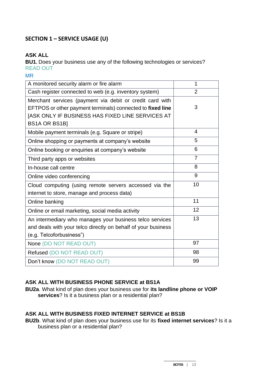# **SECTION 1 – SERVICE USAGE (U)**

# **ASK ALL**

**BU1.** Does your business use any of the following technologies or services? READ OUT

MR

| A monitored security alarm or fire alarm                      | 1              |
|---------------------------------------------------------------|----------------|
| Cash register connected to web (e.g. inventory system)        | $\overline{2}$ |
| Merchant services (payment via debit or credit card with      |                |
| EFTPOS or other payment terminals) connected to fixed line    | 3              |
| [ASK ONLY IF BUSINESS HAS FIXED LINE SERVICES AT              |                |
| <b>BS1A OR BS1B]</b>                                          |                |
| Mobile payment terminals (e.g. Square or stripe)              | 4              |
| Online shopping or payments at company's website              | 5              |
| Online booking or enquiries at company's website              | 6              |
| Third party apps or websites                                  | 7              |
| In-house call centre                                          | 8              |
| Online video conferencing                                     | 9              |
| Cloud computing (using remote servers accessed via the        | 10             |
| internet to store, manage and process data)                   |                |
| Online banking                                                | 11             |
| Online or email marketing, social media activity              | 12             |
| An intermediary who manages your business telco services      | 13             |
| and deals with your telco directly on behalf of your business |                |
| (e.g. Telcoforbusiness")                                      |                |
| None (DO NOT READ OUT)                                        | 97             |
| Refused (DO NOT READ OUT)                                     | 98             |
| Don't know (DO NOT READ OUT)                                  | 99             |

# **ASK ALL WITH BUSINESS PHONE SERVICE at BS1A**

**BU2a**. What kind of plan does your business use for **its landline phone or VOIP services**? Is it a business plan or a residential plan?

#### **ASK ALL WITH BUSINESS FIXED INTERNET SERVICE at BS1B**

**BU2b**. What kind of plan does your business use for its **fixed internet services**? Is it a business plan or a residential plan?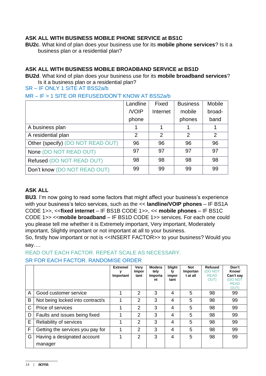## **ASK ALL WITH BUSINESS MOBILE PHONE SERVICE at BS1C**

**BU2c**. What kind of plan does your business use for its **mobile phone services**? Is it a business plan or a residential plan?

## **ASK ALL WITH BUSINESS MOBILE BROADBAND SERVICE at BS1D**

**BU2d**. What kind of plan does your business use for its **mobile broadband services**? Is it a business plan or a residential plan?

SR – IF ONLY 1 SITE AT BSS2a/b

MR – IF > 1 SITE OR REFUSED/DON'T KNOW AT BSS2a/b

|                                   | Landline | Fixed          | <b>Business</b> | Mobile         |
|-----------------------------------|----------|----------------|-----------------|----------------|
|                                   | /VOIP    | Internet       | mobile          | broad-         |
|                                   | phone    |                | phones          | band           |
| A business plan                   |          |                |                 |                |
| A residential plan                | 2        | $\overline{2}$ | 2               | $\overline{2}$ |
| Other (specify) (DO NOT READ OUT) | 96       | 96             | 96              | 96             |
| None (DO NOT READ OUT)            | 97       | 97             | 97              | 97             |
| Refused (DO NOT READ OUT)         | 98       | 98             | 98              | 98             |
| Don't know (DO NOT READ OUT)      | 99       | 99             | 99              | 99             |

## **ASK ALL**

**BU3**. I'm now going to read some factors that might affect your business's experience with your business's telco services, such as the << **landline/VOIP phones** – IF BS1A CODE 1>>, <<**fixed internet** – IF BS1B CODE 1>>, << **mobile phones** – IF BS1C CODE 1>> <<**mobile broadband** – IF BS1D CODE 1>> services. For each one could you please tell me whether it is Extremely important, Very important, Moderately important, Slightly important or not important at all to your business.

So, firstly how important or not is <<INSERT FACTOR>> to your business? Would you say….

READ OUT EACH FACTOR. REPEAT SCALE AS NECESSARY. SR FOR EACH FACTOR. RANDOMISE ORDER

|   |                                        | <b>Extremel</b><br>Important | Very<br><b>Impor</b><br>tant | Modera<br>tely<br>Importa<br>nt | Slight<br>Ιv<br>impor<br>tant | <b>Not</b><br>Importan<br>t at all | <b>Refused</b><br>(DO NOT<br><b>READ</b><br>OUT) | Don't<br>Know/<br>Can't say<br><b>DO NOT</b><br><b>READ</b><br><b>OUT)</b> |
|---|----------------------------------------|------------------------------|------------------------------|---------------------------------|-------------------------------|------------------------------------|--------------------------------------------------|----------------------------------------------------------------------------|
| A | Good customer service                  |                              | 2                            | 3                               | 4                             | 5                                  | 98                                               | 99                                                                         |
| B | Not being locked into contract/s       |                              | 2                            | 3                               | 4                             | 5                                  | 98                                               | 99                                                                         |
| C | Price of services                      |                              | 2                            | 3                               | 4                             | 5                                  | 98                                               | 99                                                                         |
| D | Faults and issues being fixed          |                              | 2                            | 3                               | 4                             | 5                                  | 98                                               | 99                                                                         |
| E | Reliability of services                |                              | 2                            | 3                               | 4                             | 5                                  | 98                                               | 99                                                                         |
| F | Getting the services you pay for       |                              | 2                            | 3                               | 4                             | 5                                  | 98                                               | 99                                                                         |
| G | Having a designated account<br>manager |                              | $\mathcal{P}$                | 3                               | 4                             | 5                                  | 98                                               | 99                                                                         |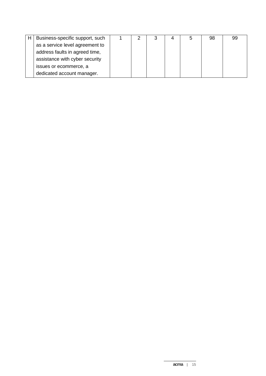| Business-specific support, such |  |  | b | 98 | .99 |
|---------------------------------|--|--|---|----|-----|
| as a service level agreement to |  |  |   |    |     |
| address faults in agreed time,  |  |  |   |    |     |
| assistance with cyber security  |  |  |   |    |     |
| issues or ecommerce, a          |  |  |   |    |     |
| dedicated account manager.      |  |  |   |    |     |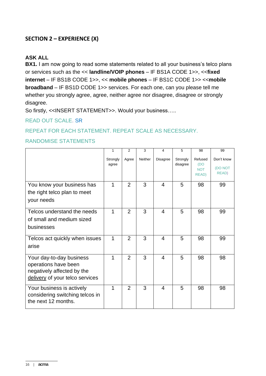# **SECTION 2 – EXPERIENCE (X)**

# **ASK ALL**

**BX1.** I am now going to read some statements related to all your business's telco plans or services such as the << **landline/VOIP phones** – IF BS1A CODE 1>>, <<**fixed internet** – IF BS1B CODE 1>>, << **mobile phones** – IF BS1C CODE 1>> <<**mobile broadband** – IF BS1D CODE 1>> services. For each one, can you please tell me whether you strongly agree, agree, neither agree nor disagree, disagree or strongly disagree.

So firstly, <<INSERT STATEMENT>>. Would your business…..

#### READ OUT SCALE. SR

#### REPEAT FOR EACH STATEMENT. REPEAT SCALE AS NECESSARY.

#### RANDOMISE STATEMENTS

|                                                                                                                   | 1                 | 2              | 3       | 4                        | 5                    | 98                                            | 99                             |
|-------------------------------------------------------------------------------------------------------------------|-------------------|----------------|---------|--------------------------|----------------------|-----------------------------------------------|--------------------------------|
|                                                                                                                   | Strongly<br>agree | Agree          | Neither | <b>Disagree</b>          | Strongly<br>disagree | Refused<br>(DO<br><b>NOT</b><br><b>READ</b> ) | Don't know<br>(DO NOT<br>READ) |
| You know your business has<br>the right telco plan to meet<br>your needs                                          | $\mathbf 1$       | 2              | 3       | $\overline{4}$           | 5                    | 98                                            | 99                             |
| Telcos understand the needs<br>of small and medium sized<br>businesses                                            | 1                 | 2              | 3       | $\overline{4}$           | 5                    | 98                                            | 99                             |
| Telcos act quickly when issues<br>arise                                                                           | 1                 | $\overline{2}$ | 3       | $\overline{\mathcal{L}}$ | 5                    | 98                                            | 99                             |
| Your day-to-day business<br>operations have been<br>negatively affected by the<br>delivery of your telco services | 1                 | 2              | 3       | $\overline{4}$           | 5                    | 98                                            | 98                             |
| Your business is actively<br>considering switching telcos in<br>the next 12 months.                               | $\mathbf{1}$      | $\overline{2}$ | 3       | $\overline{4}$           | 5                    | 98                                            | 98                             |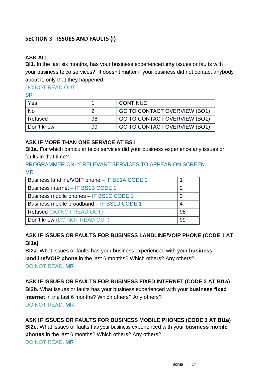# **SECTION 3 - ISSUES AND FAULTS (I)**

# **ASK ALL**

**BI1.** In the last six months, has your business experienced **any** issues or faults with your business telco services? It doesn't matter if your business did not contact anybody about it, only that they happened.

# DO NOT READ OUT

**SR** 

| Yes        |    | <b>CONTINUE</b>              |
|------------|----|------------------------------|
| <b>No</b>  | റ  | GO TO CONTACT OVERVIEW (BO1) |
| Refused    | 98 | GO TO CONTACT OVERVIEW (BO1) |
| Don't know | 99 | GO TO CONTACT OVERVIEW (BO1) |

#### **ASK IF MORE THAN ONE SERVICE AT BS1**

**BI1a.** For which particular telco services did your business experience any issues or faults in that time?

## PROGRAMMER ONLY RELEVANT SERVICES TO APPEAR ON SCREEN. MR

| Business landline/VOIP phone - IF BS1A CODE 1 |    |
|-----------------------------------------------|----|
| Business internet - IF BS1B CODE 1            |    |
| Business mobile phones - IF BS1C CODE 1       |    |
| Business mobile broadband - IF BS1D CODE 1    |    |
| Refused (DO NOT READ OUT)                     | 98 |
| Don't know (DO NOT READ OUT)                  | 99 |
|                                               |    |

# **ASK IF ISSUES OR FAULTS FOR BUSINESS LANDLINE/VOIP PHONE (CODE 1 AT BI1a)**

**BI2a.** What issues or faults has your business experienced with your **business landline/VOIP phone** in the last 6 months? Which others? Any others? DO NOT READ. MR

**ASK IF ISSUES OR FAULTS FOR BUSINESS FIXED INTERNET (CODE 2 AT BI1a) BI2b.** What issues or faults has your business experienced with your **business fixed internet** in the last 6 months? Which others? Any others? DO NOT READ. MR

## **ASK IF ISSUES OR FAULTS FOR BUSINESS MOBILE PHONES (CODE 3 AT BI1a) BI2c.** What issues or faults has your business experienced with your **business mobile**

**phones** in the last 6 months? Which others? Any others? DO NOT READ. MR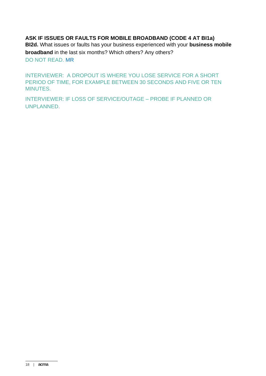**ASK IF ISSUES OR FAULTS FOR MOBILE BROADBAND (CODE 4 AT BI1a) BI2d.** What issues or faults has your business experienced with your **business mobile broadband** in the last six months? Which others? Any others? DO NOT READ. MR

INTERVIEWER: A DROPOUT IS WHERE YOU LOSE SERVICE FOR A SHORT PERIOD OF TIME, FOR EXAMPLE BETWEEN 30 SECONDS AND FIVE OR TEN MINUTES.

INTERVIEWER: IF LOSS OF SERVICE/OUTAGE – PROBE IF PLANNED OR UNPLANNED.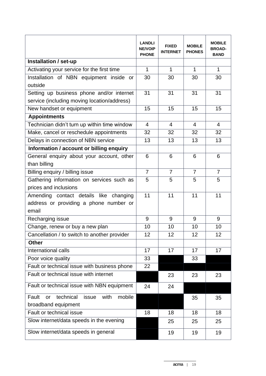|                                                            | <b>LANDLI</b><br><b>NE/VOIP</b><br><b>PHONE</b> | <b>FIXED</b><br><b>INTERNET</b> | <b>MOBILE</b><br><b>PHONES</b> | <b>MOBILE</b><br><b>BROAD-</b><br><b>BAND</b> |
|------------------------------------------------------------|-------------------------------------------------|---------------------------------|--------------------------------|-----------------------------------------------|
| Installation / set-up                                      |                                                 |                                 |                                |                                               |
| Activating your service for the first time                 | $\mathbf{1}$                                    | $\mathbf{1}$                    | $\mathbf{1}$                   |                                               |
| Installation of NBN equipment inside or                    | 30                                              | 30                              | 30                             | 30                                            |
| outside                                                    |                                                 |                                 |                                |                                               |
| Setting up business phone and/or internet                  | 31                                              | 31                              | 31                             | 31                                            |
| service (including moving location/address)                |                                                 |                                 |                                |                                               |
| New handset or equipment                                   | 15                                              | 15                              | 15                             | 15                                            |
| <b>Appointments</b>                                        |                                                 |                                 |                                |                                               |
| Technician didn't turn up within time window               | $\overline{4}$                                  | $\overline{4}$                  | $\overline{4}$                 | $\overline{4}$                                |
| Make, cancel or reschedule appointments                    | 32                                              | 32                              | 32                             | 32                                            |
| Delays in connection of NBN service                        | 13                                              | 13                              | 13                             | 13                                            |
| Information / account or billing enquiry                   |                                                 |                                 |                                |                                               |
| General enquiry about your account, other                  | 6                                               | 6                               | 6                              | 6                                             |
| than billing                                               |                                                 |                                 |                                |                                               |
| Billing enquiry / billing issue                            | $\overline{7}$                                  | $\overline{7}$                  | $\overline{7}$                 | $\overline{7}$                                |
| Gathering information on services such as                  | 5                                               | 5                               | 5                              | 5                                             |
| prices and inclusions                                      |                                                 |                                 |                                |                                               |
| Amending contact details like changing                     | 11                                              | 11                              | 11                             | 11                                            |
| address or providing a phone number or                     |                                                 |                                 |                                |                                               |
| email                                                      |                                                 |                                 |                                |                                               |
| Recharging issue                                           | 9                                               | 9                               | 9                              | 9                                             |
| Change, renew or buy a new plan                            | 10                                              | 10                              | 10                             | 10                                            |
| Cancellation / to switch to another provider               | 12                                              | 12                              | 12                             | 12                                            |
| <b>Other</b>                                               |                                                 |                                 |                                |                                               |
| International calls                                        | 17                                              | 17                              | 17                             | 17                                            |
| Poor voice quality                                         | 33                                              |                                 | 33                             |                                               |
| Fault or technical issue with business phone               | 22                                              |                                 |                                |                                               |
| Fault or technical issue with internet                     |                                                 | 23                              | 23                             | 23                                            |
| Fault or technical issue with NBN equipment                | 24                                              | 24                              |                                |                                               |
| mobile<br>Fault<br>technical<br>with<br>issue<br><b>or</b> |                                                 |                                 | 35                             | 35                                            |
| broadband equipment                                        |                                                 |                                 |                                |                                               |
| Fault or technical issue                                   | 18                                              | 18                              | 18                             | 18                                            |
| Slow internet/data speeds in the evening                   |                                                 | 25                              | 25                             | 25                                            |
| Slow internet/data speeds in general                       |                                                 | 19                              | 19                             | 19                                            |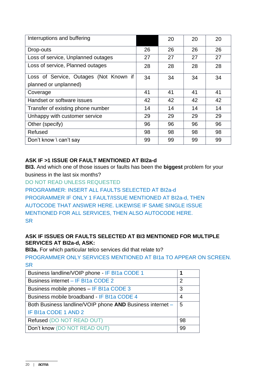| Interruptions and buffering            |    | 20 | 20 | 20 |
|----------------------------------------|----|----|----|----|
| Drop-outs                              | 26 | 26 | 26 | 26 |
| Loss of service, Unplanned outages     | 27 | 27 | 27 | 27 |
| Loss of service, Planned outages       | 28 | 28 | 28 | 28 |
| Loss of Service, Outages (Not Known if | 34 | 34 | 34 | 34 |
| planned or unplanned)                  |    |    |    |    |
| Coverage                               | 41 | 41 | 41 | 41 |
| Handset or software issues             | 42 | 42 | 42 | 42 |
| Transfer of existing phone number      | 14 | 14 | 14 | 14 |
| Unhappy with customer service          | 29 | 29 | 29 | 29 |
| Other (specify)                        | 96 | 96 | 96 | 96 |
| Refused                                | 98 | 98 | 98 | 98 |
| Don't know \ can't say                 | 99 | 99 | 99 | 99 |

## **ASK IF >1 ISSUE OR FAULT MENTIONED AT BI2a-d**

**BI3.** And which one of those issues or faults has been the **biggest** problem for your business in the last six months?

DO NOT READ UNLESS REQUESTED

PROGRAMMER: INSERT ALL FAULTS SELECTED AT BI2a-d PROGRAMMER IF ONLY 1 FAULT/ISSUE MENTIONED AT BI2a-d, THEN AUTOCODE THAT ANSWER HERE. LIKEWISE IF SAME SINGLE ISSUE MENTIONED FOR ALL SERVICES, THEN ALSO AUTOCODE HERE. **SR** 

## **ASK IF ISSUES OR FAULTS SELECTED AT BI3 MENTIONED FOR MULTIPLE SERVICES AT BI2a-d, ASK:**

**BI3a.** For which particular telco services did that relate to?

PROGRAMMER ONLY SERVICES MENTIONED AT BI1a TO APPEAR ON SCREEN. **SR** 

| Business landline/VOIP phone - IF BI1a CODE 1             |    |
|-----------------------------------------------------------|----|
| Business internet – IF BI1a CODE 2                        | 2  |
| Business mobile phones – IF BI1a CODE 3                   | 3  |
| Business mobile broadband - IF BI1a CODE 4                | 4  |
| Both Business landline/VOIP phone AND Business internet - | 5  |
| IF BI1a CODE 1 AND 2                                      |    |
| Refused (DO NOT READ OUT)                                 | 98 |
| Don't know (DO NOT READ OUT)                              | 99 |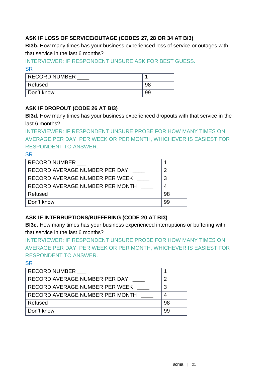# **ASK IF LOSS OF SERVICE/OUTAGE (CODES 27, 28 OR 34 AT BI3)**

**BI3b.** How many times has your business experienced loss of service or outages with that service in the last 6 months?

# INTERVIEWER: IF RESPONDENT UNSURE ASK FOR BEST GUESS. SR

| RECORD NUMBER |    |
|---------------|----|
| Refused       | 98 |
| ∣ Don't know  | 99 |

# **ASK IF DROPOUT (CODE 26 AT BI3)**

**BI3d.** How many times has your business experienced dropouts with that service in the last 6 months?

INTERVIEWER: IF RESPONDENT UNSURE PROBE FOR HOW MANY TIMES ON AVERAGE PER DAY, PER WEEK OR PER MONTH, WHICHEVER IS EASIEST FOR RESPONDENT TO ANSWER.

## **SR**

| <b>RECORD NUMBER</b>            |    |
|---------------------------------|----|
| RECORD AVERAGE NUMBER PER DAY   |    |
| RECORD AVERAGE NUMBER PER WEEK  |    |
| RECORD AVERAGE NUMBER PER MONTH |    |
| Refused                         | 98 |
| Don't know                      | 99 |

# **ASK IF INTERRUPTIONS/BUFFERING (CODE 20 AT BI3)**

**BI3e.** How many times has your business experienced interruptions or buffering with that service in the last 6 months?

INTERVIEWER: IF RESPONDENT UNSURE PROBE FOR HOW MANY TIMES ON AVERAGE PER DAY, PER WEEK OR PER MONTH, WHICHEVER IS EASIEST FOR RESPONDENT TO ANSWER.

| <b>RECORD NUMBER</b>            |    |
|---------------------------------|----|
| RECORD AVERAGE NUMBER PER DAY   | 2  |
| RECORD AVERAGE NUMBER PER WEEK  | 3  |
| RECORD AVERAGE NUMBER PER MONTH | 4  |
| Refused                         | 98 |
| Don't know                      | 99 |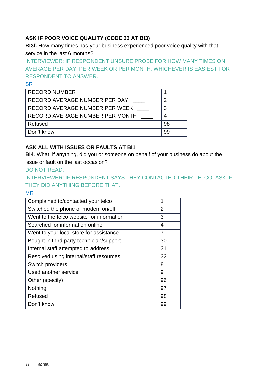# **ASK IF POOR VOICE QUALITY (CODE 33 AT BI3)**

**BI3f.** How many times has your business experienced poor voice quality with that service in the last 6 months?

INTERVIEWER: IF RESPONDENT UNSURE PROBE FOR HOW MANY TIMES ON AVERAGE PER DAY, PER WEEK OR PER MONTH, WHICHEVER IS EASIEST FOR RESPONDENT TO ANSWER.

#### **SR**

| <b>RECORD NUMBER</b>            |    |
|---------------------------------|----|
| RECORD AVERAGE NUMBER PER DAY   |    |
| RECORD AVERAGE NUMBER PER WEEK  |    |
| RECORD AVERAGE NUMBER PER MONTH |    |
| Refused                         | 98 |
| Don't know                      | 99 |

## **ASK ALL WITH ISSUES OR FAULTS AT BI1**

**BI4**. What, if anything, did you or someone on behalf of your business do about the issue or fault on the last occasion?

DO NOT READ.

INTERVIEWER: IF RESPONDENT SAYS THEY CONTACTED THEIR TELCO, ASK IF THEY DID ANYTHING BEFORE THAT.

MR

| Complained to/contacted your telco        | 1  |
|-------------------------------------------|----|
| Switched the phone or modem on/off        | 2  |
| Went to the telco website for information | 3  |
| Searched for information online           | 4  |
| Went to your local store for assistance   | 7  |
| Bought in third party technician/support  | 30 |
| Internal staff attempted to address       | 31 |
| Resolved using internal/staff resources   | 32 |
| Switch providers                          | 8  |
| Used another service                      | 9  |
| Other (specify)                           | 96 |
| Nothing                                   | 97 |
| Refused                                   | 98 |
| Don't know                                | 99 |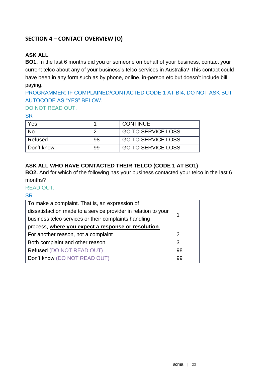# **SECTION 4 – CONTACT OVERVIEW (O)**

# **ASK ALL**

**BO1.** In the last 6 months did you or someone on behalf of your business, contact your current telco about any of your business's telco services in Australia? This contact could have been in any form such as by phone, online, in-person etc but doesn't include bill paying.

# PROGRAMMER: IF COMPLAINED/CONTACTED CODE 1 AT BI4, DO NOT ASK BUT AUTOCODE AS "YES" BELOW.

### DO NOT READ OUT.

#### **SR**

| Yes        |    | <b>CONTINUE</b>           |
|------------|----|---------------------------|
| No         |    | <b>GO TO SERVICE LOSS</b> |
| Refused    | 98 | <b>GO TO SERVICE LOSS</b> |
| Don't know | 99 | <b>GO TO SERVICE LOSS</b> |

## **ASK ALL WHO HAVE CONTACTED THEIR TELCO (CODE 1 AT BO1)**

**BO2.** And for which of the following has your business contacted your telco in the last 6 months?

#### READ OUT.

| To make a complaint. That is, an expression of<br>dissatisfaction made to a service provider in relation to your<br>business telco services or their complaints handling |    |
|--------------------------------------------------------------------------------------------------------------------------------------------------------------------------|----|
| process, where you expect a response or resolution.                                                                                                                      |    |
| For another reason, not a complaint                                                                                                                                      | 2  |
| Both complaint and other reason                                                                                                                                          | 3  |
| Refused (DO NOT READ OUT)                                                                                                                                                | 98 |
| Don't know (DO NOT READ OUT)                                                                                                                                             | 99 |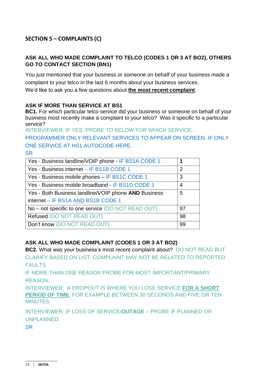# **SECTION 5 – COMPLAINTS (C)**

# **ASK ALL WHO MADE COMPLAINT TO TELCO (CODES 1 OR 3 AT BO2), OTHERS GO TO CONTACT SECTION (BN1)**

You just mentioned that your business or someone on behalf of your business made a complaint to your telco in the last 6 months about your business services.

We'd like to ask you a few questions about **the most recent complaint**.

#### **ASK IF MORE THAN SERVICE AT BS1**

**BC1.** For which particular telco service did your business or someone on behalf of your business most recently make a complaint to your telco? Was it specific to a particular service?

INTERVIEWER: IF YES, PROBE TO BELOW FOR WHICH SERVICE.

PROGRAMMER ONLY RELEVANT SERVICES TO APPEAR ON SCREEN. IF ONLY ONE SERVICE AT HS1 AUTOCODE HERE.

**SR** 

| Yes - Business landline/VOIP phone - IF BS1A CODE 1  |                |
|------------------------------------------------------|----------------|
| Yes - Business internet - IF BS1B CODE 1             | $\overline{2}$ |
| Yes - Business mobile phones - IF BS1C CODE 1        | 3              |
| Yes - Business mobile broadband - IF BS1D CODE 1     | 4              |
| Yes - Both Business landline/VOIP phone AND Business | 5              |
| internet - IF BS1A AND BS1B CODE 1                   |                |
| No – not specific to one service (DO NOT READ OUT)   | 97             |
| Refused (DO NOT READ OUT)                            | 98             |
| Don't know (DO NOT READ OUT)                         | 99             |

#### **ASK ALL WHO MADE COMPLAINT (CODES 1 OR 3 AT BO2)**

**BC2.** What was your business's most recent complaint about? DO NOT READ BUT CLARIFY BASED ON LIST. COMPLAINT MAY NOT BE RELATED TO REPORTED FAULTS.

IF MORE THAN ONE REASON PROBE FOR MOST IMPORTANT/PRIMARY REASON.

INTERVIEWER: A DROPOUT IS WHERE YOU LOSE SERVICE **FOR A SHORT PERIOD OF TIME**, FOR EXAMPLE BETWEEN 30 SECONDS AND FIVE OR TEN MINUTES.

INTERVIEWER: IF LOSS OF SERVICE/**OUTAGE** – PROBE IF PLANNED OR UNPLANNED.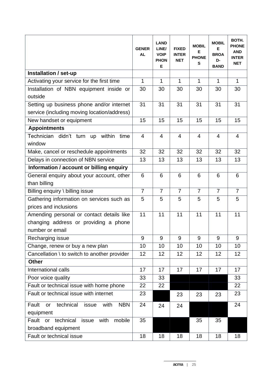|                                                                                                       | <b>GENER</b><br><b>AL</b> | <b>LAND</b><br>LINE/<br><b>VOIP</b><br><b>PHON</b><br>E | <b>FIXED</b><br><b>INTER</b><br><b>NET</b> | <b>MOBIL</b><br>Е<br><b>PHONE</b><br>S | <b>MOBIL</b><br>Е<br><b>BROA</b><br>D-<br><b>BAND</b> | BOTH.<br><b>PHONE</b><br><b>AND</b><br><b>INTER</b><br><b>NET</b> |
|-------------------------------------------------------------------------------------------------------|---------------------------|---------------------------------------------------------|--------------------------------------------|----------------------------------------|-------------------------------------------------------|-------------------------------------------------------------------|
| Installation / set-up                                                                                 |                           |                                                         |                                            |                                        |                                                       |                                                                   |
| Activating your service for the first time                                                            | 1                         | $\mathbf{1}$                                            | $\mathbf{1}$                               | 1                                      | $\mathbf 1$                                           | $\mathbf{1}$                                                      |
| Installation of NBN equipment inside or<br>outside                                                    | 30                        | 30                                                      | 30                                         | 30                                     | 30                                                    | 30                                                                |
| Setting up business phone and/or internet                                                             | 31                        | 31                                                      | 31                                         | 31                                     | 31                                                    | 31                                                                |
| service (including moving location/address)                                                           |                           |                                                         |                                            |                                        |                                                       |                                                                   |
| New handset or equipment                                                                              | 15                        | 15                                                      | 15                                         | 15                                     | 15                                                    | 15                                                                |
| <b>Appointments</b>                                                                                   |                           |                                                         |                                            |                                        |                                                       |                                                                   |
| Technician didn't turn up within<br>time<br>window                                                    | $\overline{4}$            | $\overline{4}$                                          | $\overline{4}$                             | $\overline{4}$                         | $\overline{4}$                                        | $\overline{4}$                                                    |
| Make, cancel or reschedule appointments                                                               | 32                        | 32                                                      | 32                                         | 32                                     | 32                                                    | 32                                                                |
| Delays in connection of NBN service                                                                   | 13                        | 13                                                      | 13                                         | 13                                     | 13                                                    | 13                                                                |
| Information / account or billing enquiry                                                              |                           |                                                         |                                            |                                        |                                                       |                                                                   |
| General enquiry about your account, other<br>than billing                                             | 6                         | 6                                                       | 6                                          | 6                                      | 6                                                     | 6                                                                 |
| Billing enquiry \ billing issue                                                                       | $\overline{7}$            | $\overline{7}$                                          | $\overline{7}$                             | $\overline{7}$                         | $\overline{7}$                                        | $\overline{7}$                                                    |
| Gathering information on services such as                                                             | 5                         | 5                                                       | 5                                          | 5                                      | 5                                                     | 5                                                                 |
| prices and inclusions                                                                                 |                           |                                                         |                                            |                                        |                                                       |                                                                   |
| Amending personal or contact details like<br>changing address or providing a phone<br>number or email | 11                        | 11                                                      | 11                                         | 11                                     | 11                                                    | 11                                                                |
| Recharging issue                                                                                      | 9                         | 9                                                       | 9                                          | 9                                      | 9                                                     | 9                                                                 |
| Change, renew or buy a new plan                                                                       | 10                        | 10                                                      | 10                                         | 10                                     | 10                                                    | 10                                                                |
| Cancellation \ to switch to another provider                                                          | 12                        | 12                                                      | 12                                         | 12                                     | 12                                                    | 12                                                                |
| <b>Other</b>                                                                                          |                           |                                                         |                                            |                                        |                                                       |                                                                   |
| International calls                                                                                   | 17                        | 17                                                      | 17                                         | 17                                     | 17                                                    | 17                                                                |
| Poor voice quality                                                                                    | 33                        | 33                                                      |                                            |                                        |                                                       | 33                                                                |
| Fault or technical issue with home phone                                                              | 22                        | 22                                                      |                                            |                                        |                                                       | 22                                                                |
| Fault or technical issue with internet                                                                | 23                        |                                                         | 23                                         | 23                                     | 23                                                    | 23                                                                |
| technical<br>with<br><b>NBN</b><br>Fault<br>issue<br>or<br>equipment                                  | 24                        | 24                                                      | 24                                         |                                        |                                                       | 24                                                                |
| Fault or technical<br>mobile<br>issue<br>with<br>broadband equipment                                  | 35                        |                                                         |                                            | 35                                     | 35                                                    |                                                                   |
| Fault or technical issue                                                                              | 18                        | 18                                                      | 18                                         | 18                                     | 18                                                    | 18                                                                |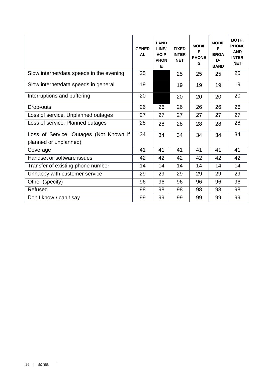|                                                                 | <b>GENER</b><br><b>AL</b> | <b>LAND</b><br>LINE/<br><b>VOIP</b><br><b>PHON</b><br>Е | <b>FIXED</b><br><b>INTER</b><br><b>NET</b> | <b>MOBIL</b><br>Е<br><b>PHONE</b><br>S | <b>MOBIL</b><br>Е<br><b>BROA</b><br>D-<br><b>BAND</b> | BOTH.<br><b>PHONE</b><br><b>AND</b><br><b>INTER</b><br><b>NET</b> |
|-----------------------------------------------------------------|---------------------------|---------------------------------------------------------|--------------------------------------------|----------------------------------------|-------------------------------------------------------|-------------------------------------------------------------------|
| Slow internet/data speeds in the evening                        | 25                        |                                                         | 25                                         | 25                                     | 25                                                    | 25                                                                |
| Slow internet/data speeds in general                            | 19                        |                                                         | 19                                         | 19                                     | 19                                                    | 19                                                                |
| Interruptions and buffering                                     | 20                        |                                                         | 20                                         | 20                                     | 20                                                    | 20                                                                |
| Drop-outs                                                       | 26                        | 26                                                      | 26                                         | 26                                     | 26                                                    | 26                                                                |
| Loss of service, Unplanned outages                              | 27                        | 27                                                      | 27                                         | 27                                     | 27                                                    | 27                                                                |
| Loss of service, Planned outages                                | 28                        | 28                                                      | 28                                         | 28                                     | 28                                                    | 28                                                                |
| Loss of Service, Outages (Not Known if<br>planned or unplanned) | 34                        | 34                                                      | 34                                         | 34                                     | 34                                                    | 34                                                                |
| Coverage                                                        | 41                        | 41                                                      | 41                                         | 41                                     | 41                                                    | 41                                                                |
| Handset or software issues                                      | 42                        | 42                                                      | 42                                         | 42                                     | 42                                                    | 42                                                                |
| Transfer of existing phone number                               | 14                        | 14                                                      | 14                                         | 14                                     | 14                                                    | 14                                                                |
| Unhappy with customer service                                   | 29                        | 29                                                      | 29                                         | 29                                     | 29                                                    | 29                                                                |
| Other (specify)                                                 | 96                        | 96                                                      | 96                                         | 96                                     | 96                                                    | 96                                                                |
| Refused                                                         | 98                        | 98                                                      | 98                                         | 98                                     | 98                                                    | 98                                                                |
| Don't know \ can't say                                          | 99                        | 99                                                      | 99                                         | 99                                     | 99                                                    | 99                                                                |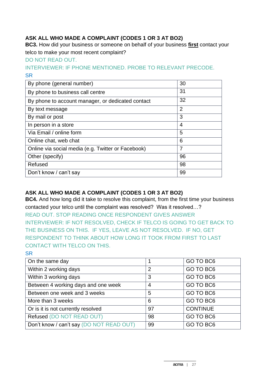# **ASK ALL WHO MADE A COMPLAINT (CODES 1 OR 3 AT BO2)**

**BC3.** How did your business or someone on behalf of your business **first** contact your telco to make your most recent complaint?

## DO NOT READ OUT.

# INTERVIEWER: IF PHONE MENTIONED. PROBE TO RELEVANT PRECODE. **SR**

| By phone (general number)                          | 30             |
|----------------------------------------------------|----------------|
| By phone to business call centre                   | 31             |
| By phone to account manager, or dedicated contact  | 32             |
| By text message                                    | $\overline{2}$ |
| By mail or post                                    | 3              |
| In person in a store                               | 4              |
| Via Email / online form                            | 5              |
| Online chat, web chat                              | 6              |
| Online via social media (e.g. Twitter or Facebook) | 7              |
| Other (specify)                                    | 96             |
| Refused                                            | 98             |
| Don't know / can't say                             | 99             |

# **ASK ALL WHO MADE A COMPLAINT (CODES 1 OR 3 AT BO2)**

**BC4.** And how long did it take to resolve this complaint, from the first time your business contacted your telco until the complaint was resolved? Was it resolved…? READ OUT. STOP READING ONCE RESPONDENT GIVES ANSWER INTERVIEWER: IF NOT RESOLVED, CHECK IF TELCO IS GOING TO GET BACK TO THE BUSINESS ON THIS. IF YES, LEAVE AS NOT RESOLVED. IF NO, GET RESPONDENT TO THINK ABOUT HOW LONG IT TOOK FROM FIRST TO LAST CONTACT WITH TELCO ON THIS.

| On the same day                          |    | GO TO BC6       |
|------------------------------------------|----|-----------------|
| Within 2 working days                    | 2  | GO TO BC6       |
| Within 3 working days                    | 3  | GO TO BC6       |
| Between 4 working days and one week      | 4  | GO TO BC6       |
| Between one week and 3 weeks             | 5  | GO TO BC6       |
| More than 3 weeks                        | 6  | GO TO BC6       |
| Or is it is not currently resolved       | 97 | <b>CONTINUE</b> |
| Refused (DO NOT READ OUT)                | 98 | GO TO BC6       |
| Don't know / can't say (DO NOT READ OUT) | 99 | GO TO BC6       |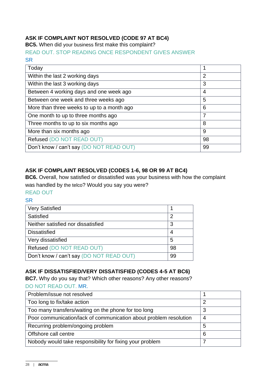# **ASK IF COMPLAINT NOT RESOLVED (CODE 97 AT BC4)**

**BC5.** When did your business first make this complaint?

READ OUT. STOP READING ONCE RESPONDENT GIVES ANSWER **SR** 

| Today                                      |                |
|--------------------------------------------|----------------|
| Within the last 2 working days             | $\overline{2}$ |
| Within the last 3 working days             | 3              |
| Between 4 working days and one week ago    | $\overline{4}$ |
| Between one week and three weeks ago       | 5              |
| More than three weeks to up to a month ago | 6              |
| One month to up to three months ago        | $\overline{7}$ |
| Three months to up to six months ago       | 8              |
| More than six months ago                   | 9              |
| Refused (DO NOT READ OUT)                  | 98             |
| Don't know / can't say (DO NOT READ OUT)   | 99             |

# **ASK IF COMPLAINT RESOLVED (CODES 1-6, 98 OR 99 AT BC4)**

**BC6.** Overall, how satisfied or dissatisfied was your business with how the complaint was handled by the telco? Would you say you were?

#### READ OUT

#### **SR**

| <b>Very Satisfied</b>                    |    |
|------------------------------------------|----|
| Satisfied                                | 2  |
| Neither satisfied nor dissatisfied       | 3  |
| <b>Dissatisfied</b>                      |    |
| Very dissatisfied                        | 5  |
| Refused (DO NOT READ OUT)                | 98 |
| Don't know / can't say (DO NOT READ OUT) | 99 |

#### **ASK IF DISSATISFIED/VERY DISSATISFIED (CODES 4-5 AT BC6)**

**BC7.** Why do you say that? Which other reasons? Any other reasons?

#### DO NOT READ OUT. MR.

| Problem/issue not resolved                                        |   |
|-------------------------------------------------------------------|---|
| Too long to fix/take action                                       | っ |
| Too many transfers/waiting on the phone for too long              | 3 |
| Poor communication/lack of communication about problem resolution | 4 |
| Recurring problem/ongoing problem                                 | 5 |
| Offshore call centre                                              | 6 |
| Nobody would take responsibility for fixing your problem          |   |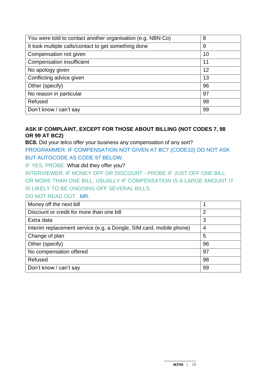| You were told to contact another organisation (e.g. NBN Co) | 8  |
|-------------------------------------------------------------|----|
| It took multiple calls/contact to get something done        | 9  |
| Compensation not given                                      | 10 |
| <b>Compensation insufficient</b>                            | 11 |
| No apology given                                            | 12 |
| Conflicting advice given                                    | 13 |
| Other (specify)                                             | 96 |
| No reason in particular                                     | 97 |
| Refused                                                     | 98 |
| Don't know / can't say                                      | 99 |

## **ASK IF COMPLAINT, EXCEPT FOR THOSE ABOUT BILLING (NOT CODES 7, 98 OR 99 AT BC2)**

**BC8.** Did your telco offer your business any compensation of any sort? PROGRAMMER: IF COMPENSATION NOT GIVEN AT BC7 (CODE10) DO NOT ASK BUT AUTOCODE AS CODE 97 BELOW.

IF YES, PROBE: What did they offer you?

INTERVIEWER: IF MONEY OFF OR DISCOUNT - PROBE IF JUST OFF ONE BILL OR MORE THAN ONE BILL. USUALLY IF COMPENSATION IS A LARGE AMOUNT IT IS LIKELY TO BE ONGOING OFF SEVERAL BILLS.

DO NOT READ OUT. MR.

| Money off the next bill                                             |                |
|---------------------------------------------------------------------|----------------|
| Discount or credit for more than one bill                           | $\overline{2}$ |
| Extra data                                                          | 3              |
| Interim replacement service (e.g. a Dongle, SIM card, mobile phone) | 4              |
| Change of plan                                                      | 5              |
| Other (specify)                                                     | 96             |
| No compensation offered                                             | 97             |
| Refused                                                             | 98             |
| Don't know / can't say                                              | 99             |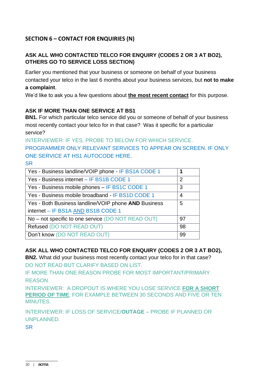# **SECTION 6 – CONTACT FOR ENQUIRIES (N)**

# **ASK ALL WHO CONTACTED TELCO FOR ENQUIRY (CODES 2 OR 3 AT BO2), OTHERS GO TO SERVICE LOSS SECTION)**

Earlier you mentioned that your business or someone on behalf of your business contacted your telco in the last 6 months about your business services, but **not to make a complaint**.

We'd like to ask you a few questions about **the most recent contact** for this purpose.

#### **ASK IF MORE THAN ONE SERVICE AT BS1**

**BN1.** For which particular telco service did you or someone of behalf of your business most recently contact your telco for in that case? Was it specific for a particular service?

INTERVIEWER: IF YES, PROBE TO BELOW FOR WHICH SERVICE. PROGRAMMER ONLY RELEVANT SERVICES TO APPEAR ON SCREEN. IF ONLY ONE SERVICE AT HS1 AUTOCODE HERE. SR

| 2<br>3 |
|--------|
|        |
|        |
|        |
| 4      |
| 5      |
|        |
| 97     |
| 98     |
| 99     |
|        |

#### **ASK ALL WHO CONTACTED TELCO FOR ENQUIRY (CODES 2 OR 3 AT BO2),**

**BN2.** What did your business most recently contact your telco for in that case? DO NOT READ BUT CLARIFY BASED ON LIST.

IF MORE THAN ONE REASON PROBE FOR MOST IMPORTANT/PRIMARY REASON.

INTERVIEWER: A DROPOUT IS WHERE YOU LOSE SERVICE **FOR A SHORT PERIOD OF TIME**, FOR EXAMPLE BETWEEN 30 SECONDS AND FIVE OR TEN MINUTES.

INTERVIEWER: IF LOSS OF SERVICE/**OUTAGE** – PROBE IF PLANNED OR UNPLANNED.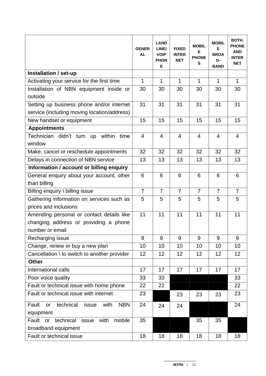|                                                                                                       | <b>GENER</b><br><b>AL</b> | <b>LAND</b><br>LINE/<br><b>VOIP</b><br><b>PHON</b><br>E | <b>FIXED</b><br><b>INTER</b><br><b>NET</b> | <b>MOBIL</b><br>Е<br><b>PHONE</b><br>S | <b>MOBIL</b><br>Е<br><b>BROA</b><br>D-<br><b>BAND</b> | BOTH.<br><b>PHONE</b><br><b>AND</b><br><b>INTER</b><br><b>NET</b> |
|-------------------------------------------------------------------------------------------------------|---------------------------|---------------------------------------------------------|--------------------------------------------|----------------------------------------|-------------------------------------------------------|-------------------------------------------------------------------|
| Installation / set-up                                                                                 |                           |                                                         |                                            |                                        |                                                       |                                                                   |
| Activating your service for the first time                                                            | 1                         | $\mathbf{1}$                                            | $\mathbf{1}$                               | 1                                      | $\mathbf 1$                                           | $\mathbf{1}$                                                      |
| Installation of NBN equipment inside or<br>outside                                                    | 30                        | 30                                                      | 30                                         | 30                                     | 30                                                    | 30                                                                |
| Setting up business phone and/or internet                                                             | 31                        | 31                                                      | 31                                         | 31                                     | 31                                                    | 31                                                                |
| service (including moving location/address)                                                           |                           |                                                         |                                            |                                        |                                                       |                                                                   |
| New handset or equipment                                                                              | 15                        | 15                                                      | 15                                         | 15                                     | 15                                                    | 15                                                                |
| <b>Appointments</b>                                                                                   |                           |                                                         |                                            |                                        |                                                       |                                                                   |
| Technician didn't turn up within<br>time<br>window                                                    | $\overline{4}$            | $\overline{4}$                                          | $\overline{4}$                             | $\overline{4}$                         | $\overline{4}$                                        | $\overline{4}$                                                    |
| Make, cancel or reschedule appointments                                                               | 32                        | 32                                                      | 32                                         | 32                                     | 32                                                    | 32                                                                |
| Delays in connection of NBN service                                                                   | 13                        | 13                                                      | 13                                         | 13                                     | 13                                                    | 13                                                                |
| Information / account or billing enquiry                                                              |                           |                                                         |                                            |                                        |                                                       |                                                                   |
| General enquiry about your account, other                                                             | 6                         | 6                                                       | 6                                          | 6                                      | 6                                                     | 6                                                                 |
| than billing                                                                                          |                           |                                                         |                                            |                                        |                                                       |                                                                   |
| Billing enquiry \ billing issue                                                                       | $\overline{7}$            | $\overline{7}$                                          | $\overline{7}$                             | $\overline{7}$                         | $\overline{7}$                                        | $\overline{7}$                                                    |
| Gathering information on services such as                                                             | 5                         | 5                                                       | 5                                          | 5                                      | 5                                                     | 5                                                                 |
| prices and inclusions                                                                                 |                           |                                                         |                                            |                                        |                                                       |                                                                   |
| Amending personal or contact details like<br>changing address or providing a phone<br>number or email | 11                        | 11                                                      | 11                                         | 11                                     | 11                                                    | 11                                                                |
| Recharging issue                                                                                      | 9                         | 9                                                       | 9                                          | 9                                      | 9                                                     | 9                                                                 |
| Change, renew or buy a new plan                                                                       | 10                        | 10                                                      | 10                                         | 10                                     | 10                                                    | 10                                                                |
| Cancellation \ to switch to another provider                                                          | 12                        | 12                                                      | 12                                         | 12                                     | 12                                                    | 12                                                                |
| <b>Other</b>                                                                                          |                           |                                                         |                                            |                                        |                                                       |                                                                   |
| International calls                                                                                   | 17                        | 17                                                      | 17                                         | 17                                     | 17                                                    | 17                                                                |
| Poor voice quality                                                                                    | 33                        | 33                                                      |                                            |                                        |                                                       | 33                                                                |
| Fault or technical issue with home phone                                                              | 22                        | 22                                                      |                                            |                                        |                                                       | 22                                                                |
| Fault or technical issue with internet                                                                | 23                        |                                                         | 23                                         | 23                                     | 23                                                    | 23                                                                |
| technical<br>with<br><b>NBN</b><br>Fault<br>issue<br>or<br>equipment                                  | 24                        | 24                                                      | 24                                         |                                        |                                                       | 24                                                                |
| Fault or technical<br>mobile<br>issue<br>with                                                         | 35                        |                                                         |                                            | 35                                     | 35                                                    |                                                                   |
| broadband equipment                                                                                   |                           |                                                         |                                            |                                        |                                                       |                                                                   |
| Fault or technical issue                                                                              | 18                        | 18                                                      | 18                                         | 18                                     | 18                                                    | 18                                                                |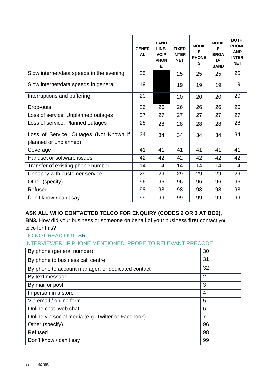|                                                                 | <b>GENER</b><br><b>AL</b> | <b>LAND</b><br>LINE/<br><b>VOIP</b><br><b>PHON</b><br>Е | <b>FIXED</b><br><b>INTER</b><br><b>NET</b> | <b>MOBIL</b><br>E<br><b>PHONE</b><br>S | <b>MOBIL</b><br>F<br><b>BROA</b><br>D-<br><b>BAND</b> | BOTH.<br><b>PHONE</b><br><b>AND</b><br><b>INTER</b><br><b>NET</b> |
|-----------------------------------------------------------------|---------------------------|---------------------------------------------------------|--------------------------------------------|----------------------------------------|-------------------------------------------------------|-------------------------------------------------------------------|
| Slow internet/data speeds in the evening                        | 25                        |                                                         | 25                                         | 25                                     | 25                                                    | 25                                                                |
| Slow internet/data speeds in general                            | 19                        |                                                         | 19                                         | 19                                     | 19                                                    | 19                                                                |
| Interruptions and buffering                                     | 20                        |                                                         | 20                                         | 20                                     | 20                                                    | 20                                                                |
| Drop-outs                                                       | 26                        | 26                                                      | 26                                         | 26                                     | 26                                                    | 26                                                                |
| Loss of service, Unplanned outages                              | 27                        | 27                                                      | 27                                         | 27                                     | 27                                                    | 27                                                                |
| Loss of service, Planned outages                                | 28                        | 28                                                      | 28                                         | 28                                     | 28                                                    | 28                                                                |
| Loss of Service, Outages (Not Known if<br>planned or unplanned) | 34                        | 34                                                      | 34                                         | 34                                     | 34                                                    | 34                                                                |
| Coverage                                                        | 41                        | 41                                                      | 41                                         | 41                                     | 41                                                    | 41                                                                |
| Handset or software issues                                      | 42                        | 42                                                      | 42                                         | 42                                     | 42                                                    | 42                                                                |
| Transfer of existing phone number                               | 14                        | 14                                                      | 14                                         | 14                                     | 14                                                    | 14                                                                |
| Unhappy with customer service                                   | 29                        | 29                                                      | 29                                         | 29                                     | 29                                                    | 29                                                                |
| Other (specify)                                                 | 96                        | 96                                                      | 96                                         | 96                                     | 96                                                    | 96                                                                |
| Refused                                                         | 98                        | 98                                                      | 98                                         | 98                                     | 98                                                    | 98                                                                |
| Don't know \ can't say                                          | 99                        | 99                                                      | 99                                         | 99                                     | 99                                                    | 99                                                                |

# **ASK ALL WHO CONTACTED TELCO FOR ENQUIRY (CODES 2 OR 3 AT BO2),**

**BN3.** How did your business or someone on behalf of your business **first** contact your telco for this?

DO NOT READ OUT. SR

# INTERVIEWER: IF PHONE MENTIONED. PROBE TO RELEVANT PRECODE

| By phone (general number)                          | 30             |
|----------------------------------------------------|----------------|
| By phone to business call centre                   | 31             |
| By phone to account manager, or dedicated contact  | 32             |
| By text message                                    | $\overline{2}$ |
| By mail or post                                    | 3              |
| In person in a store                               | 4              |
| Via email / online form                            | 5              |
| Online chat, web chat                              | 6              |
| Online via social media (e.g. Twitter or Facebook) | 7              |
| Other (specify)                                    | 96             |
| Refused                                            | 98             |
| Don't know / can't say                             | 99             |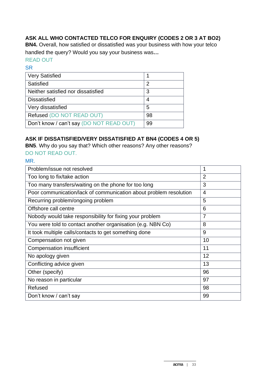# **ASK ALL WHO CONTACTED TELCO FOR ENQUIRY (CODES 2 OR 3 AT BO2)**

**BN4.** Overall, how satisfied or dissatisfied was your business with how your telco handled the query? Would you say your business was*…*

# READ OUT

#### **SR**

| <b>Very Satisfied</b>                    |    |
|------------------------------------------|----|
| Satisfied                                | 2  |
| Neither satisfied nor dissatisfied       | 3  |
| <b>Dissatisfied</b>                      | 4  |
| Very dissatisfied                        | 5  |
| Refused (DO NOT READ OUT)                | 98 |
| Don't know / can't say (DO NOT READ OUT) | 99 |

## **ASK IF DISSATISFIED/VERY DISSATISFIED AT BN4 (CODES 4 OR 5)**

**BN5**. Why do you say that? Which other reasons? Any other reasons?

# DO NOT READ OUT.

MR.

| Problem/issue not resolved                                        | 1              |
|-------------------------------------------------------------------|----------------|
| Too long to fix/take action                                       | $\overline{2}$ |
| Too many transfers/waiting on the phone for too long              | 3              |
| Poor communication/lack of communication about problem resolution | $\overline{4}$ |
| Recurring problem/ongoing problem                                 | 5              |
| Offshore call centre                                              | 6              |
| Nobody would take responsibility for fixing your problem          | $\overline{7}$ |
| You were told to contact another organisation (e.g. NBN Co)       | 8              |
| It took multiple calls/contacts to get something done             | 9              |
| Compensation not given                                            | 10             |
| <b>Compensation insufficient</b>                                  | 11             |
| No apology given                                                  | 12             |
| Conflicting advice given                                          | 13             |
| Other (specify)                                                   | 96             |
| No reason in particular                                           | 97             |
| Refused                                                           | 98             |
| Don't know / can't say                                            | 99             |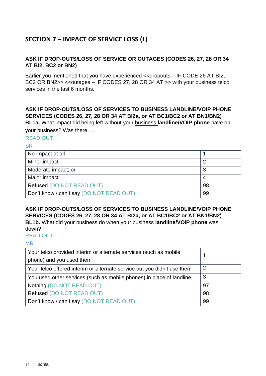# **SECTION 7 – IMPACT OF SERVICE LOSS (L)**

#### **ASK IF DROP-OUTS/LOSS OF SERVICE OR OUTAGES (CODES 26, 27, 28 OR 34 AT BI2, BC2 or BN2)**

Earlier you mentioned that you have experienced <<dropouts – IF CODE 26 AT BI2, BC2 OR BN2>> << outages – IF CODES 27, 28 OR 34 AT >> with your business telco services in the last 6 months.

# **ASK IF DROP-OUTS/LOSS OF SERVICES TO BUSINESS LANDLINE/VOIP PHONE SERVICES (CODES 26, 27, 28 OR 34 AT BI2a, or AT BC1/BC2 or AT BN1/BN2) BL1a.** What impact did being left without your business **landline/VOIP phone** have on

your business? Was there…..

#### READ OUT

#### SR

| No impact at all                         |    |
|------------------------------------------|----|
| Minor impact                             |    |
| Moderate impact; or                      | ີ  |
| Major impact                             |    |
| Refused (DO NOT READ OUT)                | 98 |
| Don't know / can't say (DO NOT READ OUT) | 99 |

# **ASK IF DROP-OUTS/LOSS OF SERVICES TO BUSINESS LANDLINE/VOIP PHONE SERVICES (CODES 26, 27, 28 OR 34 AT BI2a, or AT BC1/BC2 or AT BN1/BN2)**

**BL1b.** What did your business do when your business **landline/VOIP phone** was down?

#### READ OUT

#### MR

| Your telco provided interim or alternate services (such as mobile<br>phone) and you used them |    |
|-----------------------------------------------------------------------------------------------|----|
| Your telco offered interim or alternate service but you didn't use them                       | -2 |
| You used other services (such as mobile phones) in place of landline                          | -3 |
| Nothing (DO NOT READ OUT)                                                                     | 97 |
| Refused (DO NOT READ OUT)                                                                     | 98 |
| Don't know / can't say (DO NOT READ OUT)                                                      | 99 |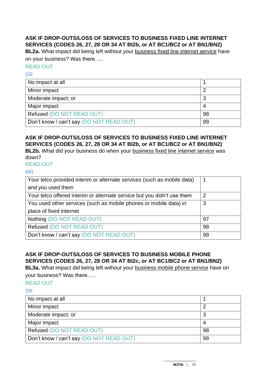## **ASK IF DROP-OUTS/LOSS OF SERVICES TO BUSINESS FIXED LINE INTERNET SERVICES (CODES 26, 27, 28 OR 34 AT BI2b, or AT BC1/BC2 or AT BN1/BN2)**

**BL2a.** What impact did being left without your business fixed line internet service have on your business? Was there…..

#### READ OUT

SR

| No impact at all                         |    |
|------------------------------------------|----|
| Minor impact                             |    |
| Moderate impact; or                      |    |
| Major impact                             |    |
| Refused (DO NOT READ OUT)                | 98 |
| Don't know / can't say (DO NOT READ OUT) | 99 |

## **ASK IF DROP-OUTS/LOSS OF SERVICES TO BUSINESS FIXED LINE INTERNET SERVICES (CODES 26, 27, 28 OR 34 AT BI2b, or AT BC1/BC2 or AT BN1/BN2)**

**BL2b.** What did your business do when your business fixed line internet service was down?

READ OUT

#### MR

| Your telco provided interim or alternate services (such as mobile data) | 1  |
|-------------------------------------------------------------------------|----|
| and you used them                                                       |    |
| Your telco offered interim or alternate service but you didn't use them | 2  |
| You used other services (such as mobile phones or mobile data) in       | 3  |
| place of fixed internet                                                 |    |
| Nothing (DO NOT READ OUT)                                               | 97 |
| Refused (DO NOT READ OUT)                                               | 98 |
| Don't know / can't say (DO NOT READ OUT)                                | 99 |

# **ASK IF DROP-OUTS/LOSS OF SERVICES TO BUSINESS MOBILE PHONE SERVICES (CODES 26, 27, 28 OR 34 AT BI2c, or AT BC1/BC2 or AT BN1/BN2)**

**BL3a.** What impact did being left without your business mobile phone service have on your business? Was there…..

#### READ OUT

| No impact at all                         |    |
|------------------------------------------|----|
| Minor impact                             |    |
| Moderate impact; or                      |    |
| Major impact                             |    |
| Refused (DO NOT READ OUT)                | 98 |
| Don't know / can't say (DO NOT READ OUT) | 99 |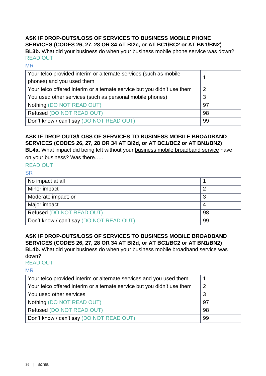#### **ASK IF DROP-OUTS/LOSS OF SERVICES TO BUSINESS MOBILE PHONE SERVICES (CODES 26, 27, 28 OR 34 AT BI2c, or AT BC1/BC2 or AT BN1/BN2)**

**BL3b.** What did your business do when your business mobile phone service was down? READ OUT

#### MR

| Your telco provided interim or alternate services (such as mobile<br>phones) and you used them |    |
|------------------------------------------------------------------------------------------------|----|
| Your telco offered interim or alternate service but you didn't use them                        | 2  |
| You used other services (such as personal mobile phones)                                       | 3  |
| Nothing (DO NOT READ OUT)                                                                      | 97 |
| Refused (DO NOT READ OUT)                                                                      | 98 |
| Don't know / can't say (DO NOT READ OUT)                                                       | 99 |

# **ASK IF DROP-OUTS/LOSS OF SERVICES TO BUSINESS MOBILE BROADBAND SERVICES (CODES 26, 27, 28 OR 34 AT BI2d, or AT BC1/BC2 or AT BN1/BN2)**

**BL4a.** What impact did being left without your business mobile broadband service have on your business? Was there…..

#### READ OUT

#### SR

| No impact at all                         |    |
|------------------------------------------|----|
| Minor impact                             |    |
| Moderate impact; or                      |    |
| Major impact                             |    |
| Refused (DO NOT READ OUT)                | 98 |
| Don't know / can't say (DO NOT READ OUT) | 99 |

# **ASK IF DROP-OUTS/LOSS OF SERVICES TO BUSINESS MOBILE BROADBAND SERVICES (CODES 26, 27, 28 OR 34 AT BI2d, or AT BC1/BC2 or AT BN1/BN2)**

**BL4b.** What did your business do when your business mobile broadband service was down?

#### READ OUT

MR

| Your telco provided interim or alternate services and you used them     |                |
|-------------------------------------------------------------------------|----------------|
| Your telco offered interim or alternate service but you didn't use them | $\overline{2}$ |
| You used other services                                                 | 3              |
| Nothing (DO NOT READ OUT)                                               | 97             |
| Refused (DO NOT READ OUT)                                               | 98             |
| Don't know / can't say (DO NOT READ OUT)                                | 99             |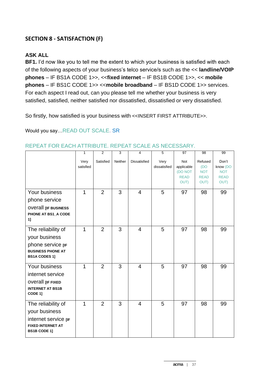# **SECTION 8 - SATISFACTION (F)**

## **ASK ALL**

**BF1.** I'd now like you to tell me the extent to which your business is satisfied with each of the following aspects of your business's telco service/s such as the << **landline/VOIP phones** – IF BS1A CODE 1>>, <<**fixed internet** – IF BS1B CODE 1>>, << **mobile phones** – IF BS1C CODE 1>> <<**mobile broadband** – IF BS1D CODE 1>> services. For each aspect I read out, can you please tell me whether your business is very satisfied, satisfied, neither satisfied nor dissatisfied, dissatisfied or very dissatisfied.

So firstly, how satisfied is your business with <<INSERT FIRST ATTRIBUTE>>.

Would you say…READ OUT SCALE. SR

|                                                                                                                | $\mathbf{1}$      | 2              | 3       | $\overline{4}$      | 5                    | 97                                                  | 98                                                  | 99                                                     |
|----------------------------------------------------------------------------------------------------------------|-------------------|----------------|---------|---------------------|----------------------|-----------------------------------------------------|-----------------------------------------------------|--------------------------------------------------------|
|                                                                                                                | Very<br>satisfied | Satisfied      | Neither | <b>Dissatisfied</b> | Very<br>dissatisfied | Not<br>applicable<br>(DO NOT<br><b>READ</b><br>OUT) | Refused<br>(DO<br><b>NOT</b><br><b>READ</b><br>OUT) | Don't<br>know (DO<br><b>NOT</b><br><b>READ</b><br>OUT) |
| Your business<br>phone service<br><b>OVETAIL LIF BUSINESS</b><br>PHONE AT BS1_A CODE<br>1]                     | 1                 | $\overline{2}$ | 3       | $\overline{4}$      | 5                    | 97                                                  | 98                                                  | 99                                                     |
| The reliability of<br>your business<br>phone service [IF<br><b>BUSINESS PHONE AT</b><br><b>BS1A CODES 1]</b>   | 1                 | $\overline{2}$ | 3       | $\overline{4}$      | 5                    | 97                                                  | 98                                                  | 99                                                     |
| Your business<br>internet service<br><b>OVETAIL [IF FIXED</b><br><b>INTERNET AT BS1B</b><br>CODE 1]            | 1                 | $\overline{2}$ | 3       | $\overline{4}$      | 5                    | 97                                                  | 98                                                  | 99                                                     |
| The reliability of<br>your business<br>internet service [IF<br><b>FIXED INTERNET AT</b><br><b>BS1B CODE 1]</b> | 1                 | $\overline{2}$ | 3       | $\overline{4}$      | 5                    | 97                                                  | 98                                                  | 99                                                     |

#### REPEAT FOR EACH ATTRIBUTE. REPEAT SCALE AS NECESSARY.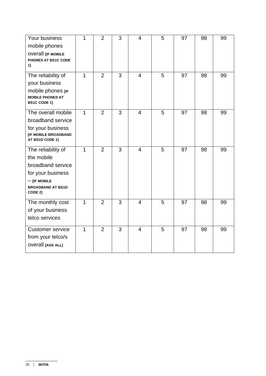| Your business             | 1              | $\overline{2}$ | 3 | 4              | 5 | 97 | 98 | 99 |
|---------------------------|----------------|----------------|---|----------------|---|----|----|----|
| mobile phones             |                |                |   |                |   |    |    |    |
| <b>OVETAIL [IF MOBILE</b> |                |                |   |                |   |    |    |    |
| PHONES AT BS1C CODE       |                |                |   |                |   |    |    |    |
| 11                        |                |                |   |                |   |    |    |    |
| The reliability of        | 1              | $\overline{2}$ | 3 | $\overline{4}$ | 5 | 97 | 98 | 99 |
| your business             |                |                |   |                |   |    |    |    |
| mobile phones [IF         |                |                |   |                |   |    |    |    |
| <b>MOBILE PHONES AT</b>   |                |                |   |                |   |    |    |    |
| <b>BS1C CODE 1]</b>       |                |                |   |                |   |    |    |    |
| The overall mobile        | $\overline{1}$ | $\overline{2}$ | 3 | $\overline{4}$ | 5 | 97 | 98 | 99 |
| broadband service         |                |                |   |                |   |    |    |    |
| for your business         |                |                |   |                |   |    |    |    |
| [IF MOBILE BROADBAND      |                |                |   |                |   |    |    |    |
| AT BS1D CODE 1]           |                |                |   |                |   |    |    |    |
| The reliability of        | $\mathbf{1}$   | 2              | 3 | $\overline{4}$ | 5 | 97 | 98 | 99 |
| the mobile                |                |                |   |                |   |    |    |    |
| broadband service         |                |                |   |                |   |    |    |    |
| for your business         |                |                |   |                |   |    |    |    |
| $-$ [IF MOBILE            |                |                |   |                |   |    |    |    |
| <b>BROADBAND AT BS1D</b>  |                |                |   |                |   |    |    |    |
| CODE 2]                   |                |                |   |                |   |    |    |    |
| The monthly cost          | $\mathbf{1}$   | $\overline{2}$ | 3 | $\overline{4}$ | 5 | 97 | 98 | 99 |
| of your business          |                |                |   |                |   |    |    |    |
| telco services            |                |                |   |                |   |    |    |    |
| <b>Customer service</b>   | 1              | 2              | 3 | $\overline{4}$ | 5 | 97 | 98 | 99 |
| from your telco/s         |                |                |   |                |   |    |    |    |
| <b>OVETAIL [ASK ALL]</b>  |                |                |   |                |   |    |    |    |
|                           |                |                |   |                |   |    |    |    |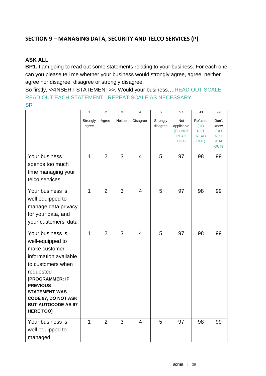# **SECTION 9 – MANAGING DATA, SECURITY AND TELCO SERVICES (P)**

#### **ASK ALL**

**BP1.** I am going to read out some statements relating to your business. For each one, can you please tell me whether your business would strongly agree, agree, neither agree nor disagree, disagree or strongly disagree.

So firstly, <<INSERT STATEMENT>>. Would your business….READ OUT SCALE READ OUT EACH STATEMENT. REPEAT SCALE AS NECESSARY. **SR** 

|                                            | $\mathbf{1}$   | $\overline{2}$ | 3              | 4              | 5        | 97                     | 98                        | 99                |
|--------------------------------------------|----------------|----------------|----------------|----------------|----------|------------------------|---------------------------|-------------------|
|                                            | Strongly       | Agree          | Neither        | Disagree       | Strongly | Not                    | Refused                   | Don't             |
|                                            | agree          |                |                |                | disagree | applicable             | (DO                       | know              |
|                                            |                |                |                |                |          | (DO NOT<br><b>READ</b> | <b>NOT</b><br><b>READ</b> | (DO<br><b>NOT</b> |
|                                            |                |                |                |                |          | OUT)                   | OUT)                      | <b>READ</b>       |
|                                            |                |                |                |                |          |                        |                           | OUT)              |
| Your business                              | $\mathbf{1}$   | $\overline{2}$ | $\overline{3}$ | $\overline{4}$ | 5        | 97                     | 98                        | 99                |
| spends too much                            |                |                |                |                |          |                        |                           |                   |
| time managing your                         |                |                |                |                |          |                        |                           |                   |
| telco services                             |                |                |                |                |          |                        |                           |                   |
| Your business is                           | $\mathbf{1}$   | $\overline{2}$ | 3              | $\overline{4}$ | 5        | 97                     | 98                        | 99                |
| well equipped to<br>manage data privacy    |                |                |                |                |          |                        |                           |                   |
| for your data, and                         |                |                |                |                |          |                        |                           |                   |
| your customers' data                       |                |                |                |                |          |                        |                           |                   |
|                                            |                |                |                |                |          |                        |                           |                   |
| Your business is                           | $\overline{1}$ | $\overline{2}$ | 3              | $\overline{4}$ | 5        | 97                     | 98                        | 99                |
| well-equipped to                           |                |                |                |                |          |                        |                           |                   |
| make customer                              |                |                |                |                |          |                        |                           |                   |
| information available<br>to customers when |                |                |                |                |          |                        |                           |                   |
| requested                                  |                |                |                |                |          |                        |                           |                   |
| [PROGRAMMER: IF                            |                |                |                |                |          |                        |                           |                   |
| <b>PREVIOUS</b>                            |                |                |                |                |          |                        |                           |                   |
| <b>STATEMENT WAS</b>                       |                |                |                |                |          |                        |                           |                   |
| <b>CODE 97, DO NOT ASK</b>                 |                |                |                |                |          |                        |                           |                   |
| <b>BUT AUTOCODE AS 97</b>                  |                |                |                |                |          |                        |                           |                   |
| <b>HERE TOO]</b>                           |                |                |                |                |          |                        |                           |                   |
| Your business is                           | $\mathbf{1}$   | $\overline{2}$ | 3              | 4              | 5        | 97                     | 98                        | 99                |
| well equipped to                           |                |                |                |                |          |                        |                           |                   |
| managed                                    |                |                |                |                |          |                        |                           |                   |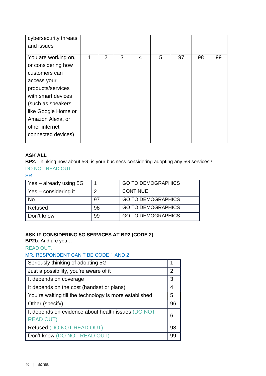| cybersecurity threats |   |                |   |   |   |    |    |    |
|-----------------------|---|----------------|---|---|---|----|----|----|
| and issues            |   |                |   |   |   |    |    |    |
| You are working on,   | 1 | $\overline{2}$ | 3 | 4 | 5 | 97 | 98 | 99 |
| or considering how    |   |                |   |   |   |    |    |    |
| customers can         |   |                |   |   |   |    |    |    |
| access your           |   |                |   |   |   |    |    |    |
| products/services     |   |                |   |   |   |    |    |    |
| with smart devices    |   |                |   |   |   |    |    |    |
| (such as speakers     |   |                |   |   |   |    |    |    |
| like Google Home or   |   |                |   |   |   |    |    |    |
| Amazon Alexa, or      |   |                |   |   |   |    |    |    |
| other internet        |   |                |   |   |   |    |    |    |
| connected devices)    |   |                |   |   |   |    |    |    |
|                       |   |                |   |   |   |    |    |    |

#### **ASK ALL**

**BP2.** Thinking now about 5G, is your business considering adopting any 5G services? DO NOT READ OUT.

SR

| Yes - already using 5G |    | <b>GO TO DEMOGRAPHICS</b> |
|------------------------|----|---------------------------|
| Yes - considering it   | ⌒  | <b>CONTINUE</b>           |
| No                     | 97 | <b>GO TO DEMOGRAPHICS</b> |
| Refused                | 98 | <b>GO TO DEMOGRAPHICS</b> |
| Don't know             | 99 | <b>GO TO DEMOGRAPHICS</b> |

## **ASK IF CONSIDERING 5G SERVICES AT BP2 (CODE 2)**

**BP2b.** And are you…

READ OUT.

# MR. RESPONDENT CAN'T BE CODE 1 AND 2

| Seriously thinking of adopting 5G                                      |    |  |
|------------------------------------------------------------------------|----|--|
| Just a possibility, you're aware of it                                 |    |  |
| It depends on coverage                                                 | 3  |  |
| It depends on the cost (handset or plans)                              | 4  |  |
| You're waiting till the technology is more established                 |    |  |
| Other (specify)                                                        |    |  |
| It depends on evidence about health issues (DO NOT<br><b>READ OUT)</b> |    |  |
| Refused (DO NOT READ OUT)                                              | 98 |  |
| Don't know (DO NOT READ OUT)                                           | 99 |  |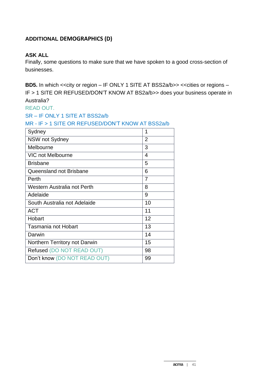# **ADDITIONAL DEMOGRAPHICS (D)**

## **ASK ALL**

Finally, some questions to make sure that we have spoken to a good cross-section of businesses.

**BD5.** In which << city or region – IF ONLY 1 SITE AT BSS2a/b>> << cities or regions – IF > 1 SITE OR REFUSED/DON'T KNOW AT BS2a/b>> does your business operate in Australia?

READ OUT.

SR – IF ONLY 1 SITE AT BSS2a/b

MR - IF > 1 SITE OR REFUSED/DON'T KNOW AT BSS2a/b

| Sydney                        | 1              |
|-------------------------------|----------------|
| <b>NSW not Sydney</b>         | $\overline{2}$ |
| Melbourne                     | 3              |
| <b>VIC not Melbourne</b>      | 4              |
| <b>Brisbane</b>               | 5              |
| Queensland not Brisbane       | 6              |
| Perth                         | 7              |
| Western Australia not Perth   | 8              |
| Adelaide                      | 9              |
| South Australia not Adelaide  | 10             |
| <b>ACT</b>                    | 11             |
| Hobart                        | 12             |
| <b>Tasmania not Hobart</b>    | 13             |
| Darwin                        | 14             |
| Northern Territory not Darwin | 15             |
| Refused (DO NOT READ OUT)     | 98             |
| Don't know (DO NOT READ OUT)  | 99             |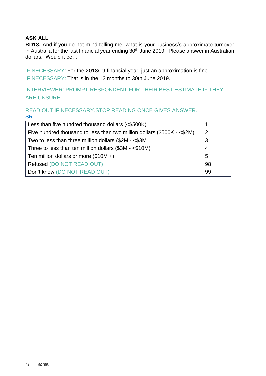# **ASK ALL**

**BD13.** And if you do not mind telling me, what is your business's approximate turnover in Australia for the last financial year ending 30<sup>th</sup> June 2019. Please answer in Australian dollars. Would it be…

IF NECESSARY: For the 2018/19 financial year, just an approximation is fine. IF NECESSARY: That is in the 12 months to 30th June 2019.

INTERVIEWER: PROMPT RESPONDENT FOR THEIR BEST ESTIMATE IF THEY ARE UNSURE.

#### READ OUT IF NECESSARY.STOP READING ONCE GIVES ANSWER. **SR**

| Less than five hundred thousand dollars (<\$500K)                       |  |  |
|-------------------------------------------------------------------------|--|--|
| Five hundred thousand to less than two million dollars (\$500K - <\$2M) |  |  |
| Two to less than three million dollars (\$2M - <\$3M                    |  |  |
| Three to less than ten million dollars (\$3M - <\$10M)                  |  |  |
| Ten million dollars or more $(\$10M +)$                                 |  |  |
| Refused (DO NOT READ OUT)                                               |  |  |
| Don't know (DO NOT READ OUT)                                            |  |  |